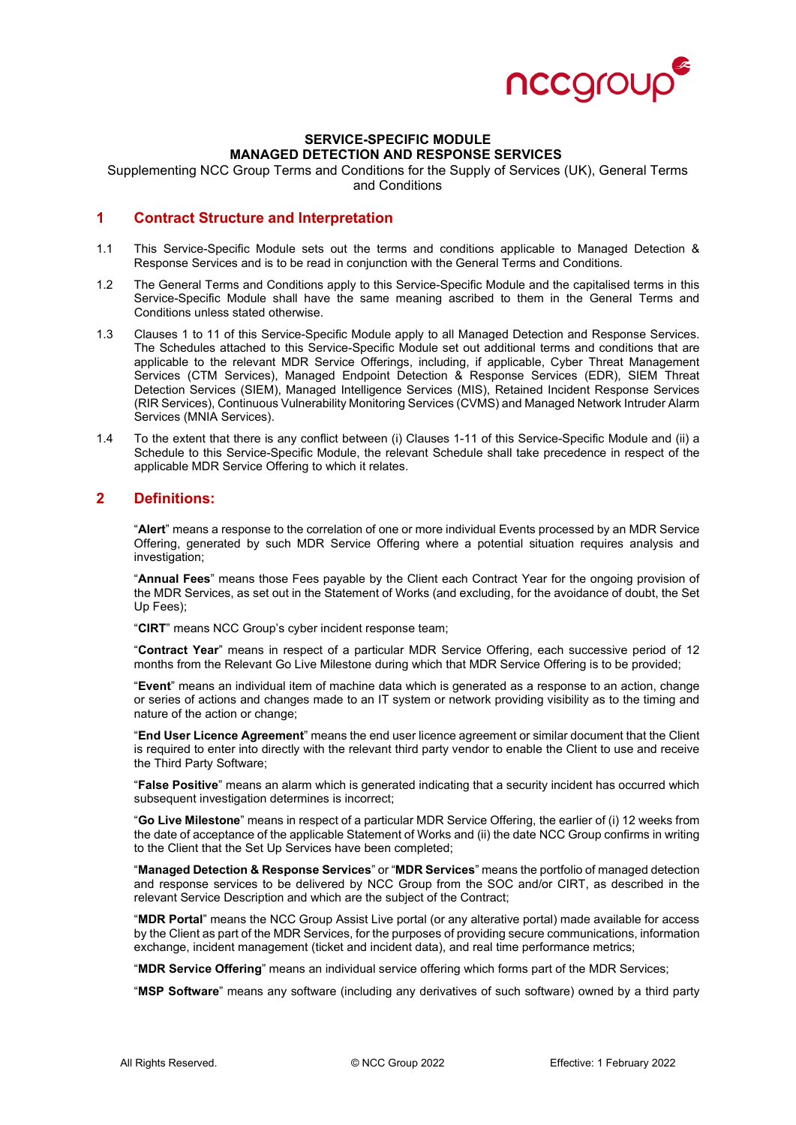

### **SERVICE-SPECIFIC MODULE MANAGED DETECTION AND RESPONSE SERVICES**

Supplementing NCC Group Terms and Conditions for the Supply of Services (UK), General Terms and Conditions

### **1 Contract Structure and Interpretation**

- 1.1 This Service-Specific Module sets out the terms and conditions applicable to Managed Detection & Response Services and is to be read in conjunction with the General Terms and Conditions.
- 1.2 The General Terms and Conditions apply to this Service-Specific Module and the capitalised terms in this Service-Specific Module shall have the same meaning ascribed to them in the General Terms and Conditions unless stated otherwise.
- 1.3 Clauses 1 to 11 of this Service-Specific Module apply to all Managed Detection and Response Services. The Schedules attached to this Service-Specific Module set out additional terms and conditions that are applicable to the relevant MDR Service Offerings, including, if applicable, Cyber Threat Management Services (CTM Services), Managed Endpoint Detection & Response Services (EDR), SIEM Threat Detection Services (SIEM), Managed Intelligence Services (MIS), Retained Incident Response Services (RIR Services), Continuous Vulnerability Monitoring Services (CVMS) and Managed Network Intruder Alarm Services (MNIA Services).
- 1.4 To the extent that there is any conflict between (i) Clauses 1-11 of this Service-Specific Module and (ii) a Schedule to this Service-Specific Module, the relevant Schedule shall take precedence in respect of the applicable MDR Service Offering to which it relates.

### **2 Definitions:**

"**Alert**" means a response to the correlation of one or more individual Events processed by an MDR Service Offering, generated by such MDR Service Offering where a potential situation requires analysis and investigation;

"**Annual Fees**" means those Fees payable by the Client each Contract Year for the ongoing provision of the MDR Services, as set out in the Statement of Works (and excluding, for the avoidance of doubt, the Set Up Fees);

"**CIRT**" means NCC Group's cyber incident response team;

"**Contract Year**" means in respect of a particular MDR Service Offering, each successive period of 12 months from the Relevant Go Live Milestone during which that MDR Service Offering is to be provided;

"**Event**" means an individual item of machine data which is generated as a response to an action, change or series of actions and changes made to an IT system or network providing visibility as to the timing and nature of the action or change;

"**End User Licence Agreement**" means the end user licence agreement or similar document that the Client is required to enter into directly with the relevant third party vendor to enable the Client to use and receive the Third Party Software;

"**False Positive**" means an alarm which is generated indicating that a security incident has occurred which subsequent investigation determines is incorrect:

"**Go Live Milestone**" means in respect of a particular MDR Service Offering, the earlier of (i) 12 weeks from the date of acceptance of the applicable Statement of Works and (ii) the date NCC Group confirms in writing to the Client that the Set Up Services have been completed;

"**Managed Detection & Response Services**" or "**MDR Services**" means the portfolio of managed detection and response services to be delivered by NCC Group from the SOC and/or CIRT, as described in the relevant Service Description and which are the subject of the Contract;

"**MDR Portal**" means the NCC Group Assist Live portal (or any alterative portal) made available for access by the Client as part of the MDR Services, for the purposes of providing secure communications, information exchange, incident management (ticket and incident data), and real time performance metrics;

"**MDR Service Offering**" means an individual service offering which forms part of the MDR Services;

"**MSP Software**" means any software (including any derivatives of such software) owned by a third party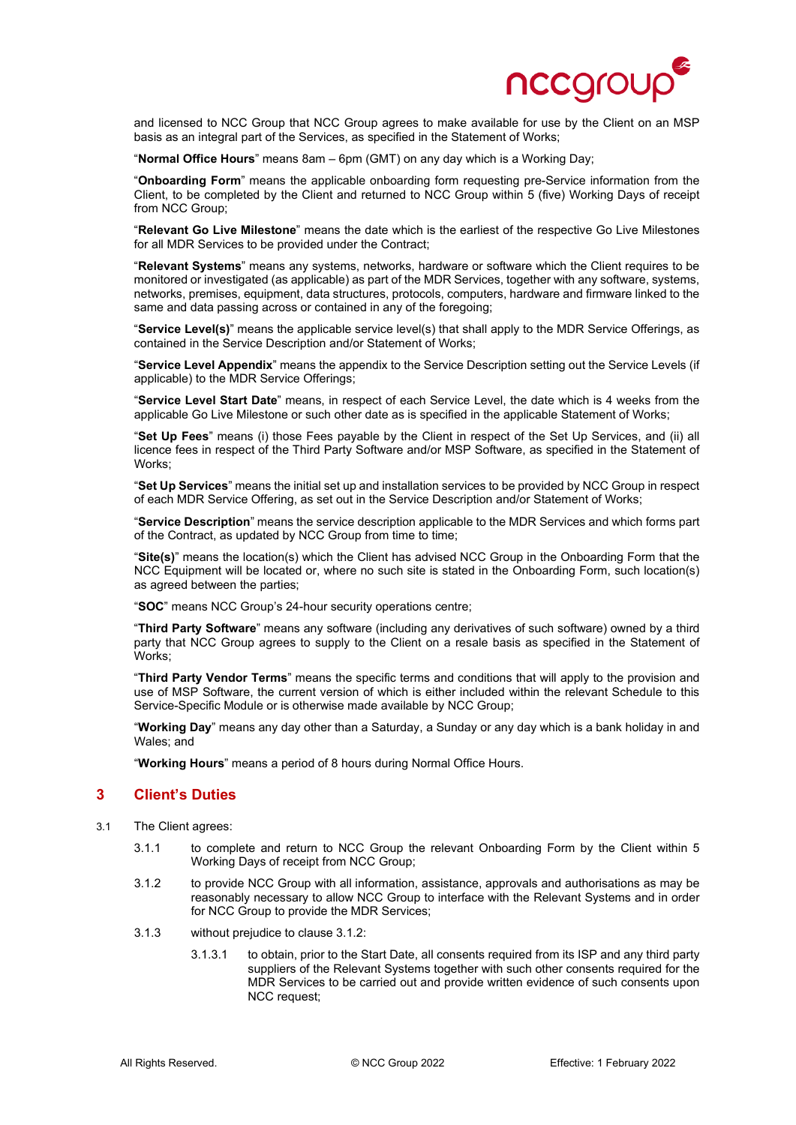

and licensed to NCC Group that NCC Group agrees to make available for use by the Client on an MSP basis as an integral part of the Services, as specified in the Statement of Works;

"**Normal Office Hours**" means 8am – 6pm (GMT) on any day which is a Working Day;

"**Onboarding Form**" means the applicable onboarding form requesting pre-Service information from the Client, to be completed by the Client and returned to NCC Group within 5 (five) Working Days of receipt from NCC Group;

"**Relevant Go Live Milestone**" means the date which is the earliest of the respective Go Live Milestones for all MDR Services to be provided under the Contract;

"**Relevant Systems**" means any systems, networks, hardware or software which the Client requires to be monitored or investigated (as applicable) as part of the MDR Services, together with any software, systems, networks, premises, equipment, data structures, protocols, computers, hardware and firmware linked to the same and data passing across or contained in any of the foregoing;

"**Service Level(s)**" means the applicable service level(s) that shall apply to the MDR Service Offerings, as contained in the Service Description and/or Statement of Works;

"**Service Level Appendix**" means the appendix to the Service Description setting out the Service Levels (if applicable) to the MDR Service Offerings;

"**Service Level Start Date**" means, in respect of each Service Level, the date which is 4 weeks from the applicable Go Live Milestone or such other date as is specified in the applicable Statement of Works;

"**Set Up Fees**" means (i) those Fees payable by the Client in respect of the Set Up Services, and (ii) all licence fees in respect of the Third Party Software and/or MSP Software, as specified in the Statement of Works;

"**Set Up Services**" means the initial set up and installation services to be provided by NCC Group in respect of each MDR Service Offering, as set out in the Service Description and/or Statement of Works;

"**Service Description**" means the service description applicable to the MDR Services and which forms part of the Contract, as updated by NCC Group from time to time;

"**Site(s)**" means the location(s) which the Client has advised NCC Group in the Onboarding Form that the NCC Equipment will be located or, where no such site is stated in the Onboarding Form, such location(s) as agreed between the parties;

"**SOC**" means NCC Group's 24-hour security operations centre;

"**Third Party Software**" means any software (including any derivatives of such software) owned by a third party that NCC Group agrees to supply to the Client on a resale basis as specified in the Statement of Works;

"**Third Party Vendor Terms**" means the specific terms and conditions that will apply to the provision and use of MSP Software, the current version of which is either included within the relevant Schedule to this Service-Specific Module or is otherwise made available by NCC Group;

"**Working Day**" means any day other than a Saturday, a Sunday or any day which is a bank holiday in and Wales; and

"**Working Hours**" means a period of 8 hours during Normal Office Hours.

# **3 Client's Duties**

- 3.1 The Client agrees:
	- 3.1.1 to complete and return to NCC Group the relevant Onboarding Form by the Client within 5 Working Days of receipt from NCC Group;
	- 3.1.2 to provide NCC Group with all information, assistance, approvals and authorisations as may be reasonably necessary to allow NCC Group to interface with the Relevant Systems and in order for NCC Group to provide the MDR Services;
	- 3.1.3 without prejudice to clause 3.1.2:
		- 3.1.3.1 to obtain, prior to the Start Date, all consents required from its ISP and any third party suppliers of the Relevant Systems together with such other consents required for the MDR Services to be carried out and provide written evidence of such consents upon NCC request;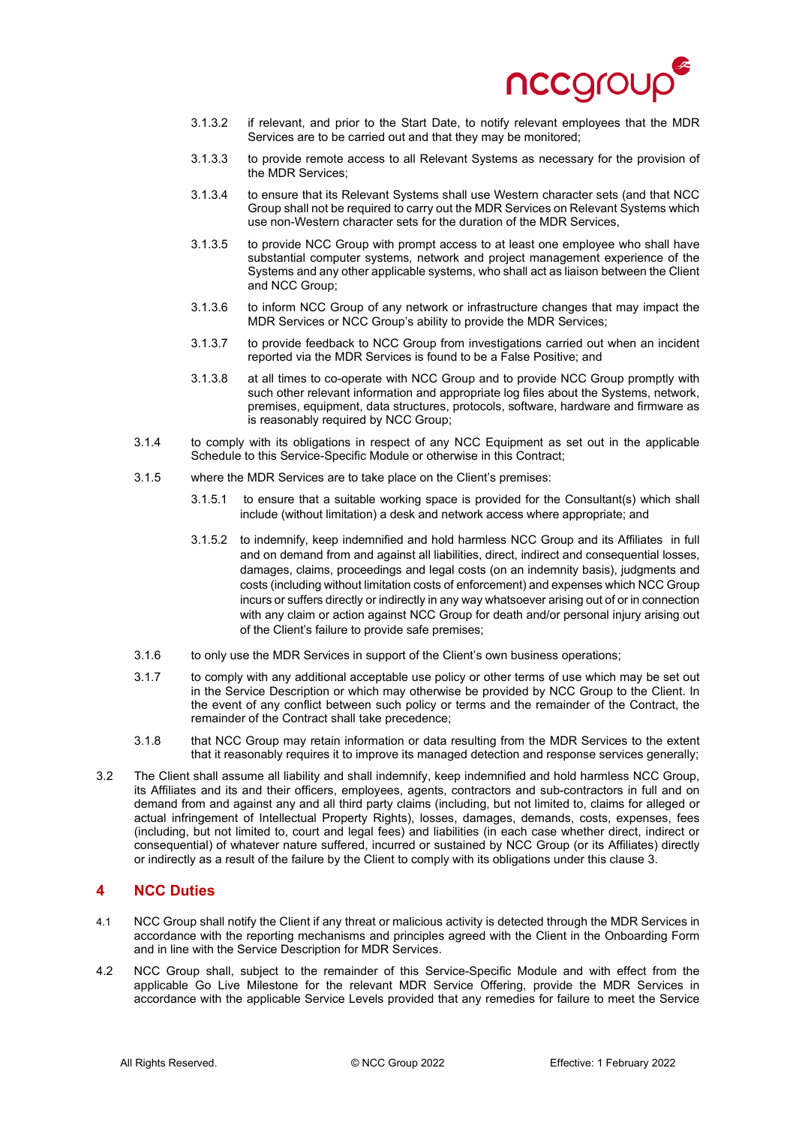

- 3.1.3.2 if relevant, and prior to the Start Date, to notify relevant employees that the MDR Services are to be carried out and that they may be monitored;
- 3.1.3.3 to provide remote access to all Relevant Systems as necessary for the provision of the MDR Services;
- 3.1.3.4 to ensure that its Relevant Systems shall use Western character sets (and that NCC Group shall not be required to carry out the MDR Services on Relevant Systems which use non-Western character sets for the duration of the MDR Services,
- 3.1.3.5 to provide NCC Group with prompt access to at least one employee who shall have substantial computer systems, network and project management experience of the Systems and any other applicable systems, who shall act as liaison between the Client and NCC Group;
- 3.1.3.6 to inform NCC Group of any network or infrastructure changes that may impact the MDR Services or NCC Group's ability to provide the MDR Services;
- 3.1.3.7 to provide feedback to NCC Group from investigations carried out when an incident reported via the MDR Services is found to be a False Positive; and
- 3.1.3.8 at all times to co-operate with NCC Group and to provide NCC Group promptly with such other relevant information and appropriate log files about the Systems, network, premises, equipment, data structures, protocols, software, hardware and firmware as is reasonably required by NCC Group;
- 3.1.4 to comply with its obligations in respect of any NCC Equipment as set out in the applicable Schedule to this Service-Specific Module or otherwise in this Contract;
- 3.1.5 where the MDR Services are to take place on the Client's premises:
	- 3.1.5.1 to ensure that a suitable working space is provided for the Consultant(s) which shall include (without limitation) a desk and network access where appropriate; and
	- 3.1.5.2 to indemnify, keep indemnified and hold harmless NCC Group and its Affiliates in full and on demand from and against all liabilities, direct, indirect and consequential losses, damages, claims, proceedings and legal costs (on an indemnity basis), judgments and costs (including without limitation costs of enforcement) and expenses which NCC Group incurs or suffers directly or indirectly in any way whatsoever arising out of or in connection with any claim or action against NCC Group for death and/or personal injury arising out of the Client's failure to provide safe premises;
- 3.1.6 to only use the MDR Services in support of the Client's own business operations;
- 3.1.7 to comply with any additional acceptable use policy or other terms of use which may be set out in the Service Description or which may otherwise be provided by NCC Group to the Client. In the event of any conflict between such policy or terms and the remainder of the Contract, the remainder of the Contract shall take precedence;
- 3.1.8 that NCC Group may retain information or data resulting from the MDR Services to the extent that it reasonably requires it to improve its managed detection and response services generally;
- 3.2 The Client shall assume all liability and shall indemnify, keep indemnified and hold harmless NCC Group, its Affiliates and its and their officers, employees, agents, contractors and sub-contractors in full and on demand from and against any and all third party claims (including, but not limited to, claims for alleged or actual infringement of Intellectual Property Rights), losses, damages, demands, costs, expenses, fees (including, but not limited to, court and legal fees) and liabilities (in each case whether direct, indirect or consequential) of whatever nature suffered, incurred or sustained by NCC Group (or its Affiliates) directly or indirectly as a result of the failure by the Client to comply with its obligations under this clause 3.

# **4 NCC Duties**

- 4.1 NCC Group shall notify the Client if any threat or malicious activity is detected through the MDR Services in accordance with the reporting mechanisms and principles agreed with the Client in the Onboarding Form and in line with the Service Description for MDR Services.
- 4.2 NCC Group shall, subject to the remainder of this Service-Specific Module and with effect from the applicable Go Live Milestone for the relevant MDR Service Offering, provide the MDR Services in accordance with the applicable Service Levels provided that any remedies for failure to meet the Service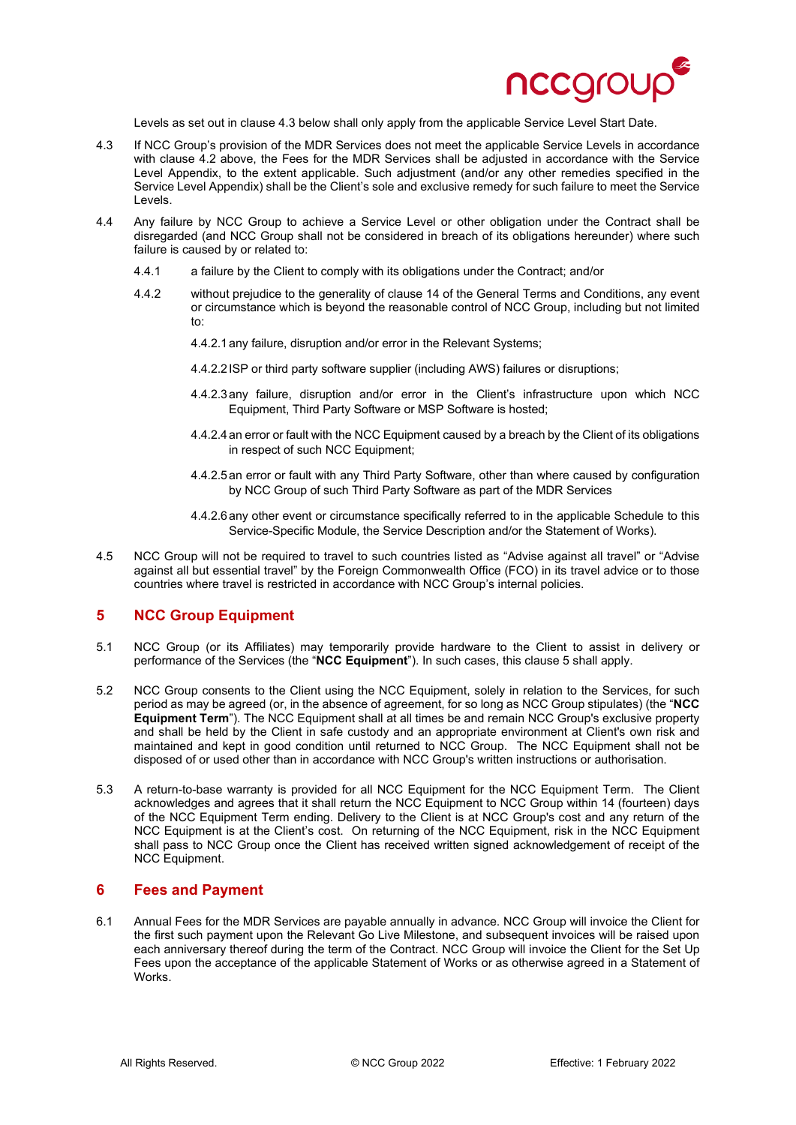

Levels as set out in clause 4.3 below shall only apply from the applicable Service Level Start Date.

- 4.3 If NCC Group's provision of the MDR Services does not meet the applicable Service Levels in accordance with clause 4.2 above, the Fees for the MDR Services shall be adjusted in accordance with the Service Level Appendix, to the extent applicable. Such adjustment (and/or any other remedies specified in the Service Level Appendix) shall be the Client's sole and exclusive remedy for such failure to meet the Service Levels.
- 4.4 Any failure by NCC Group to achieve a Service Level or other obligation under the Contract shall be disregarded (and NCC Group shall not be considered in breach of its obligations hereunder) where such failure is caused by or related to:
	- 4.4.1 a failure by the Client to comply with its obligations under the Contract; and/or
	- 4.4.2 without prejudice to the generality of clause 14 of the General Terms and Conditions, any event or circumstance which is beyond the reasonable control of NCC Group, including but not limited to:
		- 4.4.2.1any failure, disruption and/or error in the Relevant Systems;
		- 4.4.2.2ISP or third party software supplier (including AWS) failures or disruptions;
		- 4.4.2.3any failure, disruption and/or error in the Client's infrastructure upon which NCC Equipment, Third Party Software or MSP Software is hosted;
		- 4.4.2.4an error or fault with the NCC Equipment caused by a breach by the Client of its obligations in respect of such NCC Equipment:
		- 4.4.2.5an error or fault with any Third Party Software, other than where caused by configuration by NCC Group of such Third Party Software as part of the MDR Services
		- 4.4.2.6any other event or circumstance specifically referred to in the applicable Schedule to this Service-Specific Module, the Service Description and/or the Statement of Works).
- 4.5 NCC Group will not be required to travel to such countries listed as "Advise against all travel" or "Advise against all but essential travel" by the Foreign Commonwealth Office (FCO) in its travel advice or to those countries where travel is restricted in accordance with NCC Group's internal policies.

# **5 NCC Group Equipment**

- 5.1 NCC Group (or its Affiliates) may temporarily provide hardware to the Client to assist in delivery or performance of the Services (the "**NCC Equipment**"). In such cases, this clause 5 shall apply.
- 5.2 NCC Group consents to the Client using the NCC Equipment, solely in relation to the Services, for such period as may be agreed (or, in the absence of agreement, for so long as NCC Group stipulates) (the "**NCC Equipment Term**"). The NCC Equipment shall at all times be and remain NCC Group's exclusive property and shall be held by the Client in safe custody and an appropriate environment at Client's own risk and maintained and kept in good condition until returned to NCC Group. The NCC Equipment shall not be disposed of or used other than in accordance with NCC Group's written instructions or authorisation.
- 5.3 A return-to-base warranty is provided for all NCC Equipment for the NCC Equipment Term. The Client acknowledges and agrees that it shall return the NCC Equipment to NCC Group within 14 (fourteen) days of the NCC Equipment Term ending. Delivery to the Client is at NCC Group's cost and any return of the NCC Equipment is at the Client's cost. On returning of the NCC Equipment, risk in the NCC Equipment shall pass to NCC Group once the Client has received written signed acknowledgement of receipt of the NCC Equipment.

## **6 Fees and Payment**

6.1 Annual Fees for the MDR Services are payable annually in advance. NCC Group will invoice the Client for the first such payment upon the Relevant Go Live Milestone, and subsequent invoices will be raised upon each anniversary thereof during the term of the Contract. NCC Group will invoice the Client for the Set Up Fees upon the acceptance of the applicable Statement of Works or as otherwise agreed in a Statement of Works.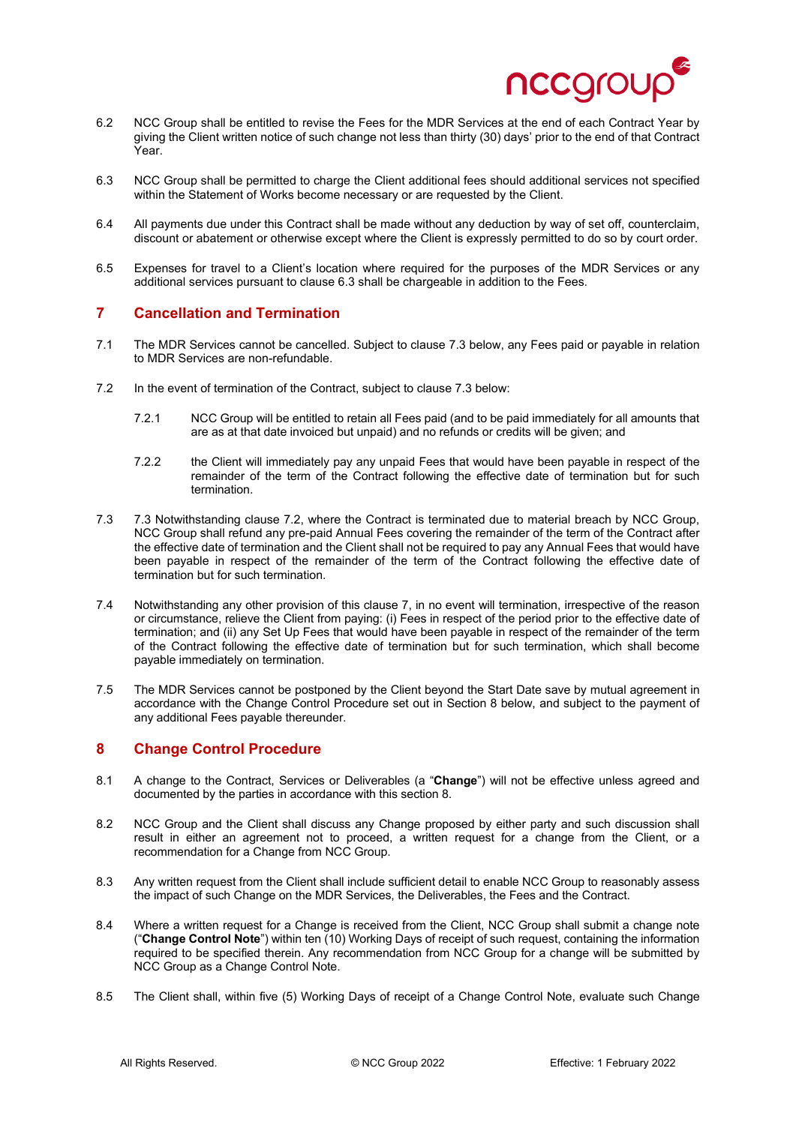

- 6.2 NCC Group shall be entitled to revise the Fees for the MDR Services at the end of each Contract Year by giving the Client written notice of such change not less than thirty (30) days' prior to the end of that Contract Year.
- 6.3 NCC Group shall be permitted to charge the Client additional fees should additional services not specified within the Statement of Works become necessary or are requested by the Client.
- 6.4 All payments due under this Contract shall be made without any deduction by way of set off, counterclaim, discount or abatement or otherwise except where the Client is expressly permitted to do so by court order.
- 6.5 Expenses for travel to a Client's location where required for the purposes of the MDR Services or any additional services pursuant to clause 6.3 shall be chargeable in addition to the Fees.

# **7 Cancellation and Termination**

- 7.1 The MDR Services cannot be cancelled. Subject to clause 7.3 below, any Fees paid or payable in relation to MDR Services are non-refundable.
- 7.2 In the event of termination of the Contract, subject to clause 7.3 below:
	- 7.2.1 NCC Group will be entitled to retain all Fees paid (and to be paid immediately for all amounts that are as at that date invoiced but unpaid) and no refunds or credits will be given; and
	- 7.2.2 the Client will immediately pay any unpaid Fees that would have been payable in respect of the remainder of the term of the Contract following the effective date of termination but for such termination.
- 7.3 7.3 Notwithstanding clause 7.2, where the Contract is terminated due to material breach by NCC Group, NCC Group shall refund any pre-paid Annual Fees covering the remainder of the term of the Contract after the effective date of termination and the Client shall not be required to pay any Annual Fees that would have been payable in respect of the remainder of the term of the Contract following the effective date of termination but for such termination.
- 7.4 Notwithstanding any other provision of this clause 7, in no event will termination, irrespective of the reason or circumstance, relieve the Client from paying: (i) Fees in respect of the period prior to the effective date of termination; and (ii) any Set Up Fees that would have been payable in respect of the remainder of the term of the Contract following the effective date of termination but for such termination, which shall become payable immediately on termination.
- 7.5 The MDR Services cannot be postponed by the Client beyond the Start Date save by mutual agreement in accordance with the Change Control Procedure set out in Section 8 below, and subject to the payment of any additional Fees payable thereunder.

# **8 Change Control Procedure**

- 8.1 A change to the Contract, Services or Deliverables (a "**Change**") will not be effective unless agreed and documented by the parties in accordance with this section 8.
- 8.2 NCC Group and the Client shall discuss any Change proposed by either party and such discussion shall result in either an agreement not to proceed, a written request for a change from the Client, or a recommendation for a Change from NCC Group.
- 8.3 Any written request from the Client shall include sufficient detail to enable NCC Group to reasonably assess the impact of such Change on the MDR Services, the Deliverables, the Fees and the Contract.
- 8.4 Where a written request for a Change is received from the Client, NCC Group shall submit a change note ("**Change Control Note**") within ten (10) Working Days of receipt of such request, containing the information required to be specified therein. Any recommendation from NCC Group for a change will be submitted by NCC Group as a Change Control Note.
- 8.5 The Client shall, within five (5) Working Days of receipt of a Change Control Note, evaluate such Change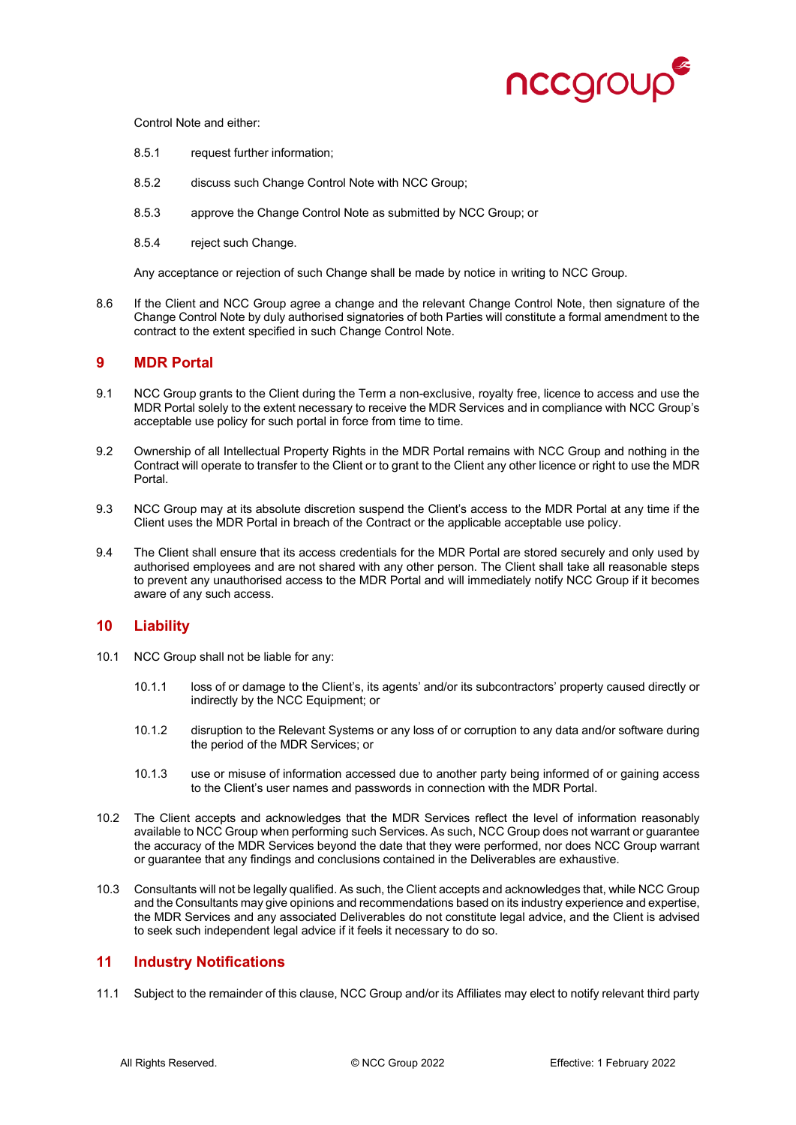

Control Note and either:

- 8.5.1 request further information;
- 8.5.2 discuss such Change Control Note with NCC Group;
- 8.5.3 approve the Change Control Note as submitted by NCC Group; or
- 8.5.4 reject such Change.

Any acceptance or rejection of such Change shall be made by notice in writing to NCC Group.

8.6 If the Client and NCC Group agree a change and the relevant Change Control Note, then signature of the Change Control Note by duly authorised signatories of both Parties will constitute a formal amendment to the contract to the extent specified in such Change Control Note.

### **9 MDR Portal**

- 9.1 NCC Group grants to the Client during the Term a non-exclusive, royalty free, licence to access and use the MDR Portal solely to the extent necessary to receive the MDR Services and in compliance with NCC Group's acceptable use policy for such portal in force from time to time.
- 9.2 Ownership of all Intellectual Property Rights in the MDR Portal remains with NCC Group and nothing in the Contract will operate to transfer to the Client or to grant to the Client any other licence or right to use the MDR Portal.
- 9.3 NCC Group may at its absolute discretion suspend the Client's access to the MDR Portal at any time if the Client uses the MDR Portal in breach of the Contract or the applicable acceptable use policy.
- 9.4 The Client shall ensure that its access credentials for the MDR Portal are stored securely and only used by authorised employees and are not shared with any other person. The Client shall take all reasonable steps to prevent any unauthorised access to the MDR Portal and will immediately notify NCC Group if it becomes aware of any such access.

### **10 Liability**

- 10.1 NCC Group shall not be liable for any:
	- 10.1.1 loss of or damage to the Client's, its agents' and/or its subcontractors' property caused directly or indirectly by the NCC Equipment; or
	- 10.1.2 disruption to the Relevant Systems or any loss of or corruption to any data and/or software during the period of the MDR Services; or
	- 10.1.3 use or misuse of information accessed due to another party being informed of or gaining access to the Client's user names and passwords in connection with the MDR Portal.
- 10.2 The Client accepts and acknowledges that the MDR Services reflect the level of information reasonably available to NCC Group when performing such Services. As such, NCC Group does not warrant or guarantee the accuracy of the MDR Services beyond the date that they were performed, nor does NCC Group warrant or guarantee that any findings and conclusions contained in the Deliverables are exhaustive.
- 10.3 Consultants will not be legally qualified. As such, the Client accepts and acknowledges that, while NCC Group and the Consultants may give opinions and recommendations based on its industry experience and expertise, the MDR Services and any associated Deliverables do not constitute legal advice, and the Client is advised to seek such independent legal advice if it feels it necessary to do so.

# **11 Industry Notifications**

11.1 Subject to the remainder of this clause, NCC Group and/or its Affiliates may elect to notify relevant third party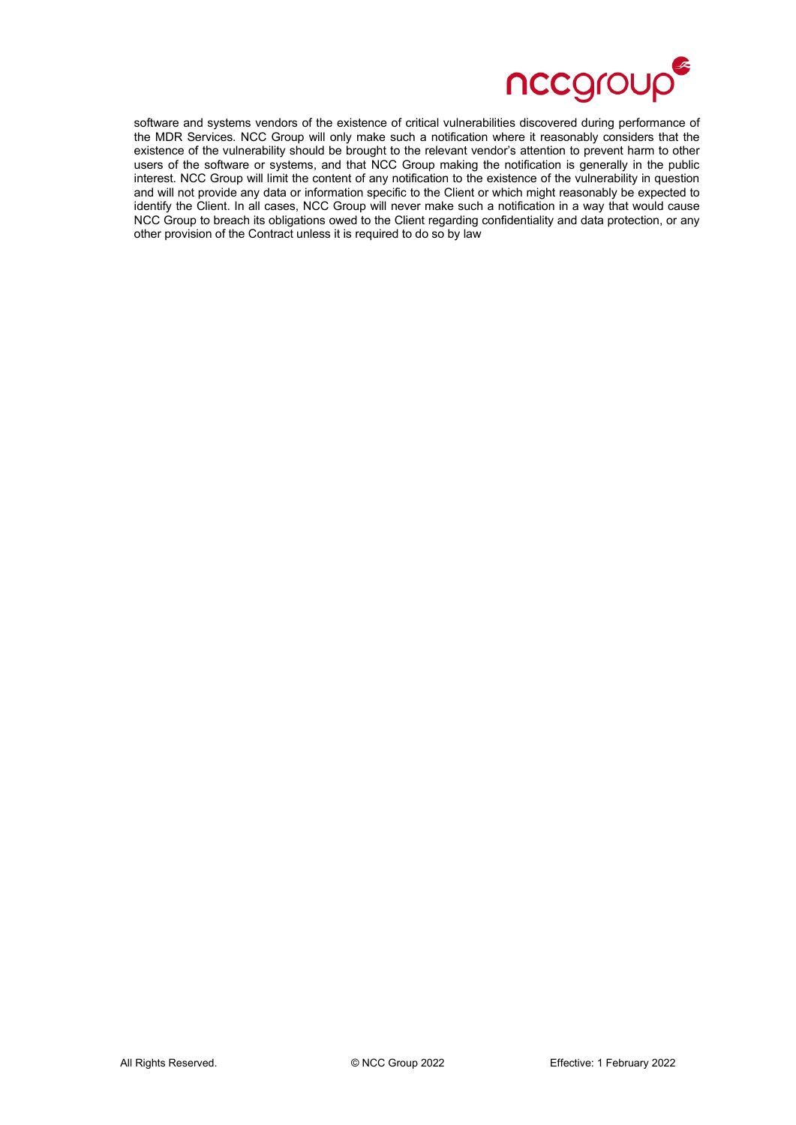

software and systems vendors of the existence of critical vulnerabilities discovered during performance of the MDR Services. NCC Group will only make such a notification where it reasonably considers that the existence of the vulnerability should be brought to the relevant vendor's attention to prevent harm to other users of the software or systems, and that NCC Group making the notification is generally in the public interest. NCC Group will limit the content of any notification to the existence of the vulnerability in question and will not provide any data or information specific to the Client or which might reasonably be expected to identify the Client. In all cases, NCC Group will never make such a notification in a way that would cause NCC Group to breach its obligations owed to the Client regarding confidentiality and data protection, or any other provision of the Contract unless it is required to do so by law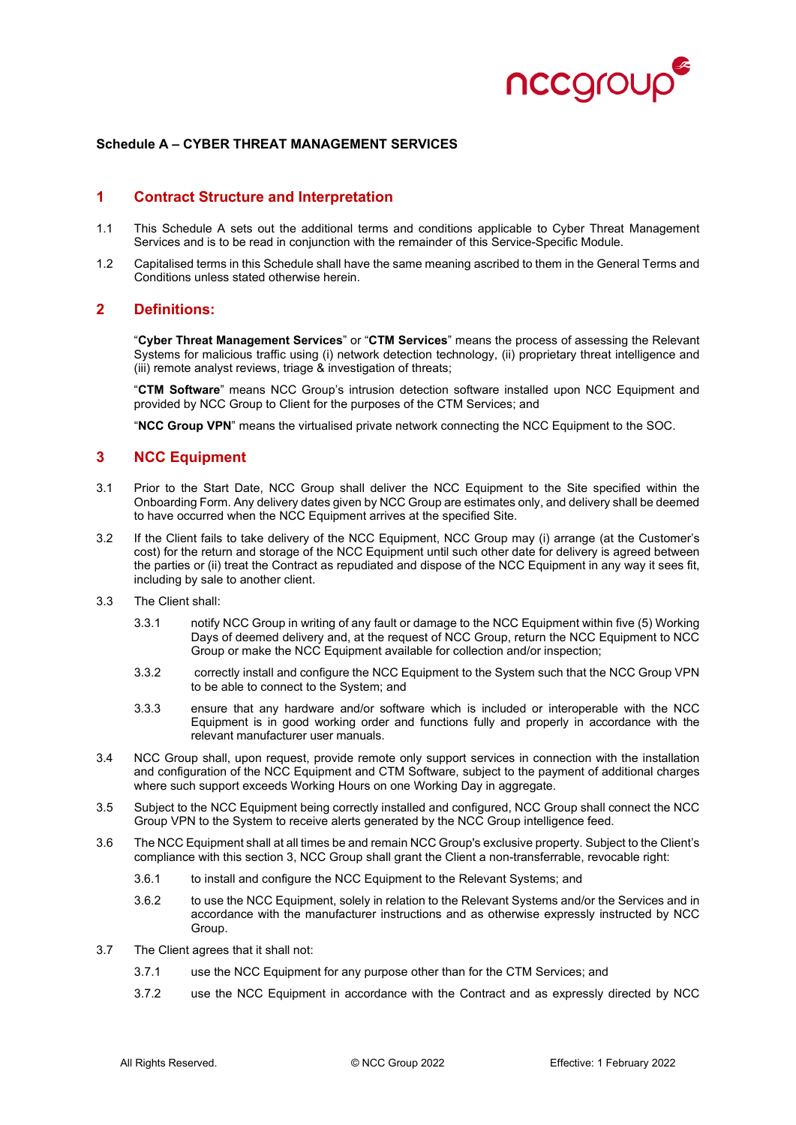

#### **Schedule A – CYBER THREAT MANAGEMENT SERVICES**

## **1 Contract Structure and Interpretation**

- 1.1 This Schedule A sets out the additional terms and conditions applicable to Cyber Threat Management Services and is to be read in conjunction with the remainder of this Service-Specific Module.
- 1.2 Capitalised terms in this Schedule shall have the same meaning ascribed to them in the General Terms and Conditions unless stated otherwise herein.

### **2 Definitions:**

"**Cyber Threat Management Services**" or "**CTM Services**" means the process of assessing the Relevant Systems for malicious traffic using (i) network detection technology, (ii) proprietary threat intelligence and (iii) remote analyst reviews, triage & investigation of threats;

"**CTM Software**" means NCC Group's intrusion detection software installed upon NCC Equipment and provided by NCC Group to Client for the purposes of the CTM Services; and

"**NCC Group VPN**" means the virtualised private network connecting the NCC Equipment to the SOC.

### **3 NCC Equipment**

- 3.1 Prior to the Start Date, NCC Group shall deliver the NCC Equipment to the Site specified within the Onboarding Form. Any delivery dates given by NCC Group are estimates only, and delivery shall be deemed to have occurred when the NCC Equipment arrives at the specified Site.
- 3.2 If the Client fails to take delivery of the NCC Equipment, NCC Group may (i) arrange (at the Customer's cost) for the return and storage of the NCC Equipment until such other date for delivery is agreed between the parties or (ii) treat the Contract as repudiated and dispose of the NCC Equipment in any way it sees fit, including by sale to another client.
- 3.3 The Client shall:
	- 3.3.1 notify NCC Group in writing of any fault or damage to the NCC Equipment within five (5) Working Days of deemed delivery and, at the request of NCC Group, return the NCC Equipment to NCC Group or make the NCC Equipment available for collection and/or inspection;
	- 3.3.2 correctly install and configure the NCC Equipment to the System such that the NCC Group VPN to be able to connect to the System; and
	- 3.3.3 ensure that any hardware and/or software which is included or interoperable with the NCC Equipment is in good working order and functions fully and properly in accordance with the relevant manufacturer user manuals.
- 3.4 NCC Group shall, upon request, provide remote only support services in connection with the installation and configuration of the NCC Equipment and CTM Software, subject to the payment of additional charges where such support exceeds Working Hours on one Working Day in aggregate.
- 3.5 Subject to the NCC Equipment being correctly installed and configured, NCC Group shall connect the NCC Group VPN to the System to receive alerts generated by the NCC Group intelligence feed.
- 3.6 The NCC Equipment shall at all times be and remain NCC Group's exclusive property. Subject to the Client's compliance with this section 3, NCC Group shall grant the Client a non-transferrable, revocable right:
	- 3.6.1 to install and configure the NCC Equipment to the Relevant Systems; and
	- 3.6.2 to use the NCC Equipment, solely in relation to the Relevant Systems and/or the Services and in accordance with the manufacturer instructions and as otherwise expressly instructed by NCC Group.
- 3.7 The Client agrees that it shall not:
	- 3.7.1 use the NCC Equipment for any purpose other than for the CTM Services; and
	- 3.7.2 use the NCC Equipment in accordance with the Contract and as expressly directed by NCC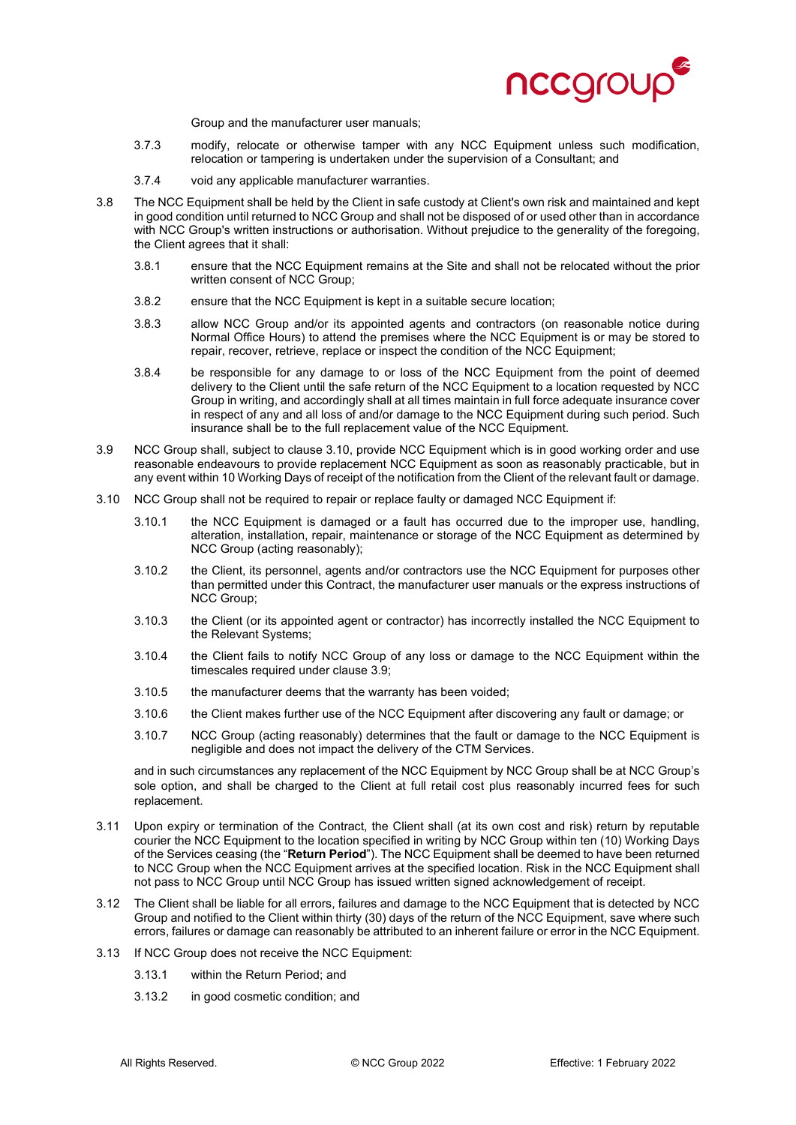

Group and the manufacturer user manuals;

- 3.7.3 modify, relocate or otherwise tamper with any NCC Equipment unless such modification, relocation or tampering is undertaken under the supervision of a Consultant; and
- 3.7.4 void any applicable manufacturer warranties.
- 3.8 The NCC Equipment shall be held by the Client in safe custody at Client's own risk and maintained and kept in good condition until returned to NCC Group and shall not be disposed of or used other than in accordance with NCC Group's written instructions or authorisation. Without prejudice to the generality of the foregoing, the Client agrees that it shall:
	- 3.8.1 ensure that the NCC Equipment remains at the Site and shall not be relocated without the prior written consent of NCC Group;
	- 3.8.2 ensure that the NCC Equipment is kept in a suitable secure location;
	- 3.8.3 allow NCC Group and/or its appointed agents and contractors (on reasonable notice during Normal Office Hours) to attend the premises where the NCC Equipment is or may be stored to repair, recover, retrieve, replace or inspect the condition of the NCC Equipment;
	- 3.8.4 be responsible for any damage to or loss of the NCC Equipment from the point of deemed delivery to the Client until the safe return of the NCC Equipment to a location requested by NCC Group in writing, and accordingly shall at all times maintain in full force adequate insurance cover in respect of any and all loss of and/or damage to the NCC Equipment during such period. Such insurance shall be to the full replacement value of the NCC Equipment.
- 3.9 NCC Group shall, subject to clause 3.10, provide NCC Equipment which is in good working order and use reasonable endeavours to provide replacement NCC Equipment as soon as reasonably practicable, but in any event within 10 Working Days of receipt of the notification from the Client of the relevant fault or damage.
- 3.10 NCC Group shall not be required to repair or replace faulty or damaged NCC Equipment if:
	- 3.10.1 the NCC Equipment is damaged or a fault has occurred due to the improper use, handling, alteration, installation, repair, maintenance or storage of the NCC Equipment as determined by NCC Group (acting reasonably);
	- 3.10.2 the Client, its personnel, agents and/or contractors use the NCC Equipment for purposes other than permitted under this Contract, the manufacturer user manuals or the express instructions of NCC Group;
	- 3.10.3 the Client (or its appointed agent or contractor) has incorrectly installed the NCC Equipment to the Relevant Systems;
	- 3.10.4 the Client fails to notify NCC Group of any loss or damage to the NCC Equipment within the timescales required under clause 3.9;
	- 3.10.5 the manufacturer deems that the warranty has been voided;
	- 3.10.6 the Client makes further use of the NCC Equipment after discovering any fault or damage; or
	- 3.10.7 NCC Group (acting reasonably) determines that the fault or damage to the NCC Equipment is negligible and does not impact the delivery of the CTM Services.

and in such circumstances any replacement of the NCC Equipment by NCC Group shall be at NCC Group's sole option, and shall be charged to the Client at full retail cost plus reasonably incurred fees for such replacement.

- 3.11 Upon expiry or termination of the Contract, the Client shall (at its own cost and risk) return by reputable courier the NCC Equipment to the location specified in writing by NCC Group within ten (10) Working Days of the Services ceasing (the "**Return Period**"). The NCC Equipment shall be deemed to have been returned to NCC Group when the NCC Equipment arrives at the specified location. Risk in the NCC Equipment shall not pass to NCC Group until NCC Group has issued written signed acknowledgement of receipt.
- 3.12 The Client shall be liable for all errors, failures and damage to the NCC Equipment that is detected by NCC Group and notified to the Client within thirty (30) days of the return of the NCC Equipment, save where such errors, failures or damage can reasonably be attributed to an inherent failure or error in the NCC Equipment.
- 3.13 If NCC Group does not receive the NCC Equipment:
	- 3.13.1 within the Return Period; and
	- 3.13.2 in good cosmetic condition; and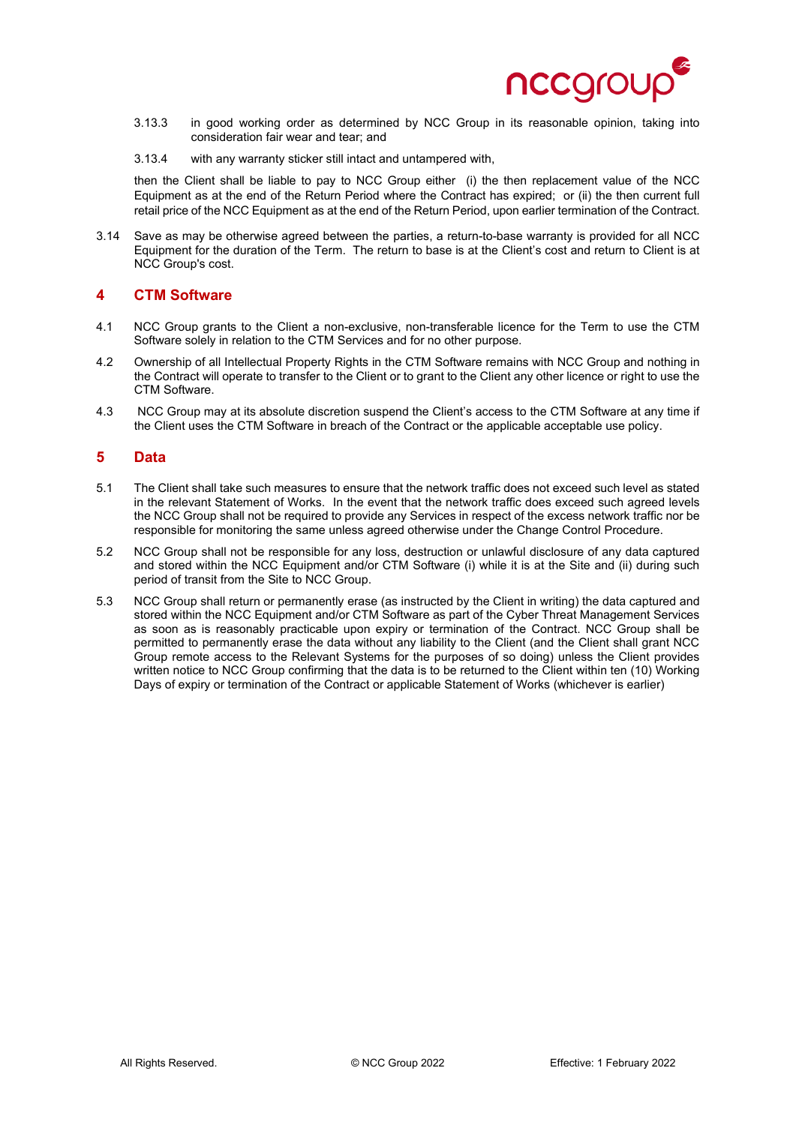

- 3.13.3 in good working order as determined by NCC Group in its reasonable opinion, taking into consideration fair wear and tear; and
- 3.13.4 with any warranty sticker still intact and untampered with,

then the Client shall be liable to pay to NCC Group either (i) the then replacement value of the NCC Equipment as at the end of the Return Period where the Contract has expired; or (ii) the then current full retail price of the NCC Equipment as at the end of the Return Period, upon earlier termination of the Contract.

3.14 Save as may be otherwise agreed between the parties, a return-to-base warranty is provided for all NCC Equipment for the duration of the Term. The return to base is at the Client's cost and return to Client is at NCC Group's cost.

### **4 CTM Software**

- 4.1 NCC Group grants to the Client a non-exclusive, non-transferable licence for the Term to use the CTM Software solely in relation to the CTM Services and for no other purpose.
- 4.2 Ownership of all Intellectual Property Rights in the CTM Software remains with NCC Group and nothing in the Contract will operate to transfer to the Client or to grant to the Client any other licence or right to use the CTM Software.
- 4.3 NCC Group may at its absolute discretion suspend the Client's access to the CTM Software at any time if the Client uses the CTM Software in breach of the Contract or the applicable acceptable use policy.

### **5 Data**

- 5.1 The Client shall take such measures to ensure that the network traffic does not exceed such level as stated in the relevant Statement of Works. In the event that the network traffic does exceed such agreed levels the NCC Group shall not be required to provide any Services in respect of the excess network traffic nor be responsible for monitoring the same unless agreed otherwise under the Change Control Procedure.
- 5.2 NCC Group shall not be responsible for any loss, destruction or unlawful disclosure of any data captured and stored within the NCC Equipment and/or CTM Software (i) while it is at the Site and (ii) during such period of transit from the Site to NCC Group.
- 5.3 NCC Group shall return or permanently erase (as instructed by the Client in writing) the data captured and stored within the NCC Equipment and/or CTM Software as part of the Cyber Threat Management Services as soon as is reasonably practicable upon expiry or termination of the Contract. NCC Group shall be permitted to permanently erase the data without any liability to the Client (and the Client shall grant NCC Group remote access to the Relevant Systems for the purposes of so doing) unless the Client provides written notice to NCC Group confirming that the data is to be returned to the Client within ten (10) Working Days of expiry or termination of the Contract or applicable Statement of Works (whichever is earlier)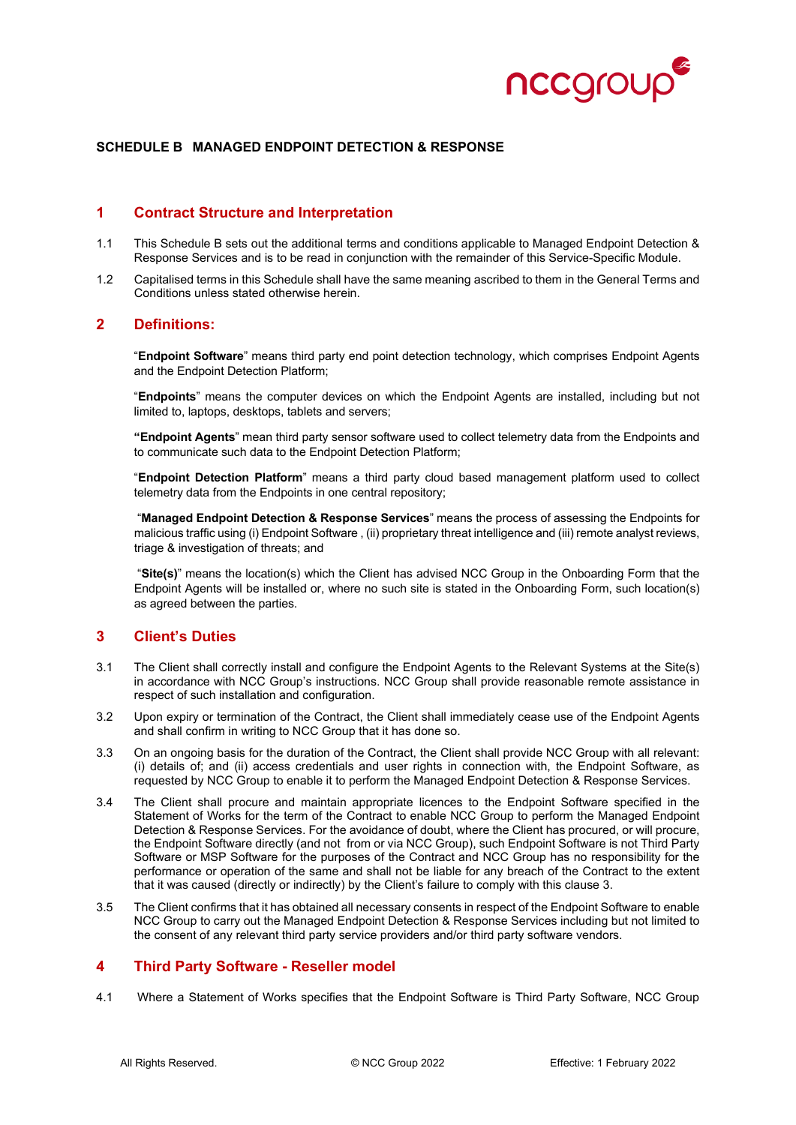

#### **SCHEDULE B MANAGED ENDPOINT DETECTION & RESPONSE**

## **1 Contract Structure and Interpretation**

- 1.1 This Schedule B sets out the additional terms and conditions applicable to Managed Endpoint Detection & Response Services and is to be read in conjunction with the remainder of this Service-Specific Module.
- 1.2 Capitalised terms in this Schedule shall have the same meaning ascribed to them in the General Terms and Conditions unless stated otherwise herein.

### **2 Definitions:**

"**Endpoint Software**" means third party end point detection technology, which comprises Endpoint Agents and the Endpoint Detection Platform;

"**Endpoints**" means the computer devices on which the Endpoint Agents are installed, including but not limited to, laptops, desktops, tablets and servers;

**"Endpoint Agents**" mean third party sensor software used to collect telemetry data from the Endpoints and to communicate such data to the Endpoint Detection Platform;

"**Endpoint Detection Platform**" means a third party cloud based management platform used to collect telemetry data from the Endpoints in one central repository;

"**Managed Endpoint Detection & Response Services**" means the process of assessing the Endpoints for malicious traffic using (i) Endpoint Software , (ii) proprietary threat intelligence and (iii) remote analyst reviews, triage & investigation of threats; and

"**Site(s)**" means the location(s) which the Client has advised NCC Group in the Onboarding Form that the Endpoint Agents will be installed or, where no such site is stated in the Onboarding Form, such location(s) as agreed between the parties.

# **3 Client's Duties**

- 3.1 The Client shall correctly install and configure the Endpoint Agents to the Relevant Systems at the Site(s) in accordance with NCC Group's instructions. NCC Group shall provide reasonable remote assistance in respect of such installation and configuration.
- 3.2 Upon expiry or termination of the Contract, the Client shall immediately cease use of the Endpoint Agents and shall confirm in writing to NCC Group that it has done so.
- 3.3 On an ongoing basis for the duration of the Contract, the Client shall provide NCC Group with all relevant: (i) details of; and (ii) access credentials and user rights in connection with, the Endpoint Software, as requested by NCC Group to enable it to perform the Managed Endpoint Detection & Response Services.
- 3.4 The Client shall procure and maintain appropriate licences to the Endpoint Software specified in the Statement of Works for the term of the Contract to enable NCC Group to perform the Managed Endpoint Detection & Response Services. For the avoidance of doubt, where the Client has procured, or will procure, the Endpoint Software directly (and not from or via NCC Group), such Endpoint Software is not Third Party Software or MSP Software for the purposes of the Contract and NCC Group has no responsibility for the performance or operation of the same and shall not be liable for any breach of the Contract to the extent that it was caused (directly or indirectly) by the Client's failure to comply with this clause 3.
- 3.5 The Client confirms that it has obtained all necessary consents in respect of the Endpoint Software to enable NCC Group to carry out the Managed Endpoint Detection & Response Services including but not limited to the consent of any relevant third party service providers and/or third party software vendors.

### **4 Third Party Software - Reseller model**

4.1 Where a Statement of Works specifies that the Endpoint Software is Third Party Software, NCC Group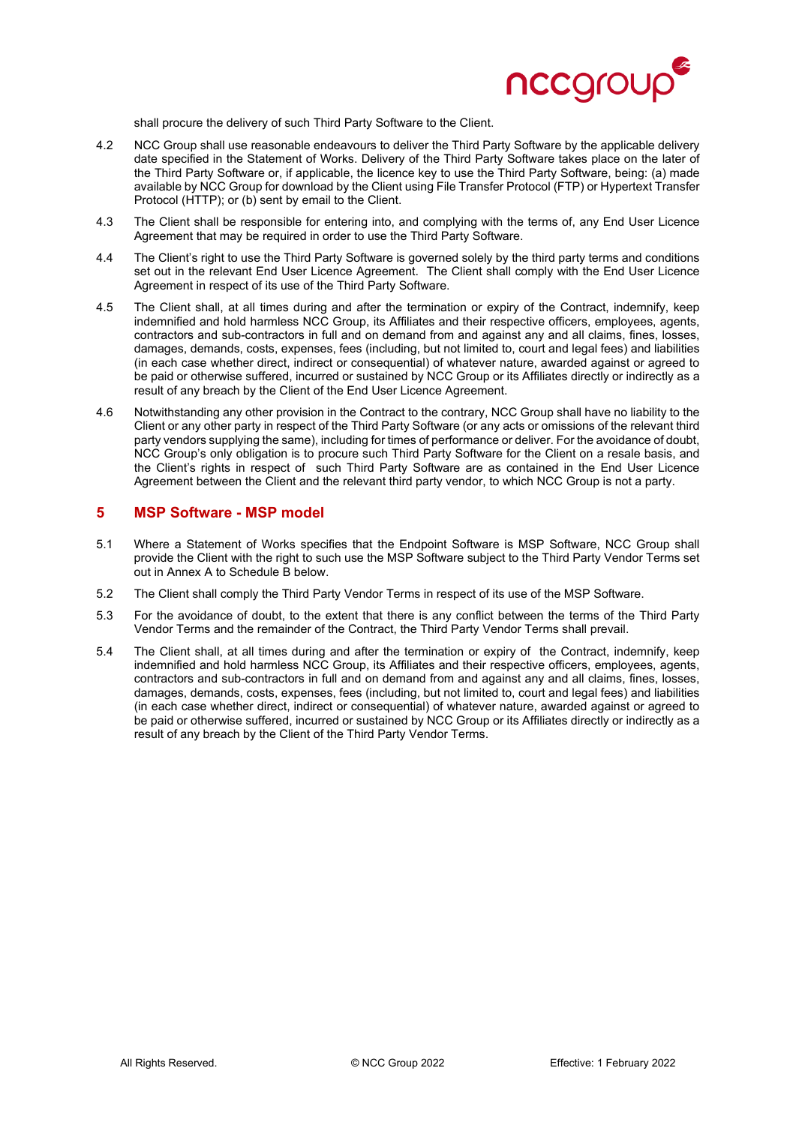

shall procure the delivery of such Third Party Software to the Client.

- 4.2 NCC Group shall use reasonable endeavours to deliver the Third Party Software by the applicable delivery date specified in the Statement of Works. Delivery of the Third Party Software takes place on the later of the Third Party Software or, if applicable, the licence key to use the Third Party Software, being: (a) made available by NCC Group for download by the Client using File Transfer Protocol (FTP) or Hypertext Transfer Protocol (HTTP); or (b) sent by email to the Client.
- 4.3 The Client shall be responsible for entering into, and complying with the terms of, any End User Licence Agreement that may be required in order to use the Third Party Software.
- 4.4 The Client's right to use the Third Party Software is governed solely by the third party terms and conditions set out in the relevant End User Licence Agreement. The Client shall comply with the End User Licence Agreement in respect of its use of the Third Party Software.
- 4.5 The Client shall, at all times during and after the termination or expiry of the Contract, indemnify, keep indemnified and hold harmless NCC Group, its Affiliates and their respective officers, employees, agents, contractors and sub-contractors in full and on demand from and against any and all claims, fines, losses, damages, demands, costs, expenses, fees (including, but not limited to, court and legal fees) and liabilities (in each case whether direct, indirect or consequential) of whatever nature, awarded against or agreed to be paid or otherwise suffered, incurred or sustained by NCC Group or its Affiliates directly or indirectly as a result of any breach by the Client of the End User Licence Agreement.
- 4.6 Notwithstanding any other provision in the Contract to the contrary, NCC Group shall have no liability to the Client or any other party in respect of the Third Party Software (or any acts or omissions of the relevant third party vendors supplying the same), including for times of performance or deliver. For the avoidance of doubt, NCC Group's only obligation is to procure such Third Party Software for the Client on a resale basis, and the Client's rights in respect of such Third Party Software are as contained in the End User Licence Agreement between the Client and the relevant third party vendor, to which NCC Group is not a party.

### **5 MSP Software - MSP model**

- 5.1 Where a Statement of Works specifies that the Endpoint Software is MSP Software, NCC Group shall provide the Client with the right to such use the MSP Software subject to the Third Party Vendor Terms set out in Annex A to Schedule B below.
- 5.2 The Client shall comply the Third Party Vendor Terms in respect of its use of the MSP Software.
- 5.3 For the avoidance of doubt, to the extent that there is any conflict between the terms of the Third Party Vendor Terms and the remainder of the Contract, the Third Party Vendor Terms shall prevail.
- 5.4 The Client shall, at all times during and after the termination or expiry of the Contract, indemnify, keep indemnified and hold harmless NCC Group, its Affiliates and their respective officers, employees, agents, contractors and sub-contractors in full and on demand from and against any and all claims, fines, losses, damages, demands, costs, expenses, fees (including, but not limited to, court and legal fees) and liabilities (in each case whether direct, indirect or consequential) of whatever nature, awarded against or agreed to be paid or otherwise suffered, incurred or sustained by NCC Group or its Affiliates directly or indirectly as a result of any breach by the Client of the Third Party Vendor Terms.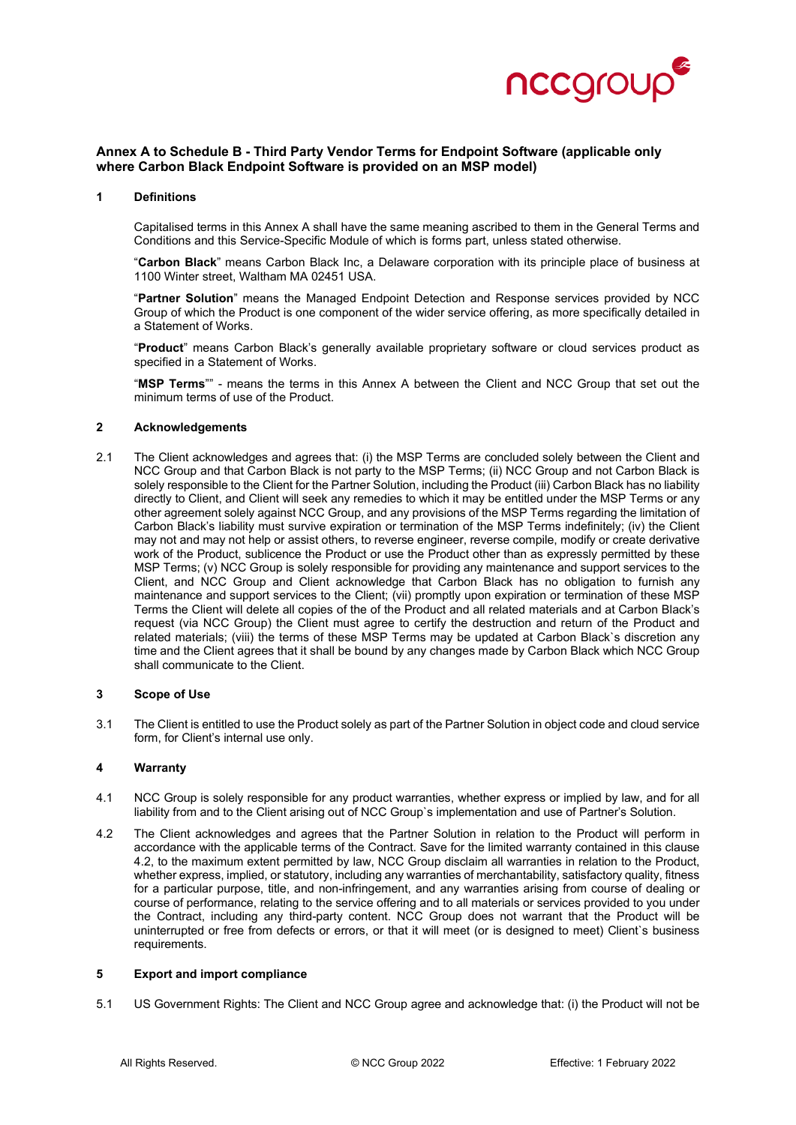

#### **Annex A to Schedule B - Third Party Vendor Terms for Endpoint Software (applicable only where Carbon Black Endpoint Software is provided on an MSP model)**

#### **1 Definitions**

Capitalised terms in this Annex A shall have the same meaning ascribed to them in the General Terms and Conditions and this Service-Specific Module of which is forms part, unless stated otherwise.

"**Carbon Black**" means Carbon Black Inc, a Delaware corporation with its principle place of business at 1100 Winter street, Waltham MA 02451 USA.

"**Partner Solution**" means the Managed Endpoint Detection and Response services provided by NCC Group of which the Product is one component of the wider service offering, as more specifically detailed in a Statement of Works.

"**Product**" means Carbon Black's generally available proprietary software or cloud services product as specified in a Statement of Works.

"**MSP Terms**"" - means the terms in this Annex A between the Client and NCC Group that set out the minimum terms of use of the Product.

#### **2 Acknowledgements**

2.1 The Client acknowledges and agrees that: (i) the MSP Terms are concluded solely between the Client and NCC Group and that Carbon Black is not party to the MSP Terms; (ii) NCC Group and not Carbon Black is solely responsible to the Client for the Partner Solution, including the Product (iii) Carbon Black has no liability directly to Client, and Client will seek any remedies to which it may be entitled under the MSP Terms or any other agreement solely against NCC Group, and any provisions of the MSP Terms regarding the limitation of Carbon Black's liability must survive expiration or termination of the MSP Terms indefinitely; (iv) the Client may not and may not help or assist others, to reverse engineer, reverse compile, modify or create derivative work of the Product, sublicence the Product or use the Product other than as expressly permitted by these MSP Terms; (v) NCC Group is solely responsible for providing any maintenance and support services to the Client, and NCC Group and Client acknowledge that Carbon Black has no obligation to furnish any maintenance and support services to the Client; (vii) promptly upon expiration or termination of these MSP Terms the Client will delete all copies of the of the Product and all related materials and at Carbon Black's request (via NCC Group) the Client must agree to certify the destruction and return of the Product and related materials; (viii) the terms of these MSP Terms may be updated at Carbon Black`s discretion any time and the Client agrees that it shall be bound by any changes made by Carbon Black which NCC Group shall communicate to the Client.

#### **3 Scope of Use**

3.1 The Client is entitled to use the Product solely as part of the Partner Solution in object code and cloud service form, for Client's internal use only.

#### **4 Warranty**

- 4.1 NCC Group is solely responsible for any product warranties, whether express or implied by law, and for all liability from and to the Client arising out of NCC Group`s implementation and use of Partner's Solution.
- 4.2 The Client acknowledges and agrees that the Partner Solution in relation to the Product will perform in accordance with the applicable terms of the Contract. Save for the limited warranty contained in this clause 4.2, to the maximum extent permitted by law, NCC Group disclaim all warranties in relation to the Product, whether express, implied, or statutory, including any warranties of merchantability, satisfactory quality, fitness for a particular purpose, title, and non-infringement, and any warranties arising from course of dealing or course of performance, relating to the service offering and to all materials or services provided to you under the Contract, including any third-party content. NCC Group does not warrant that the Product will be uninterrupted or free from defects or errors, or that it will meet (or is designed to meet) Client`s business requirements.

#### **5 Export and import compliance**

5.1 US Government Rights: The Client and NCC Group agree and acknowledge that: (i) the Product will not be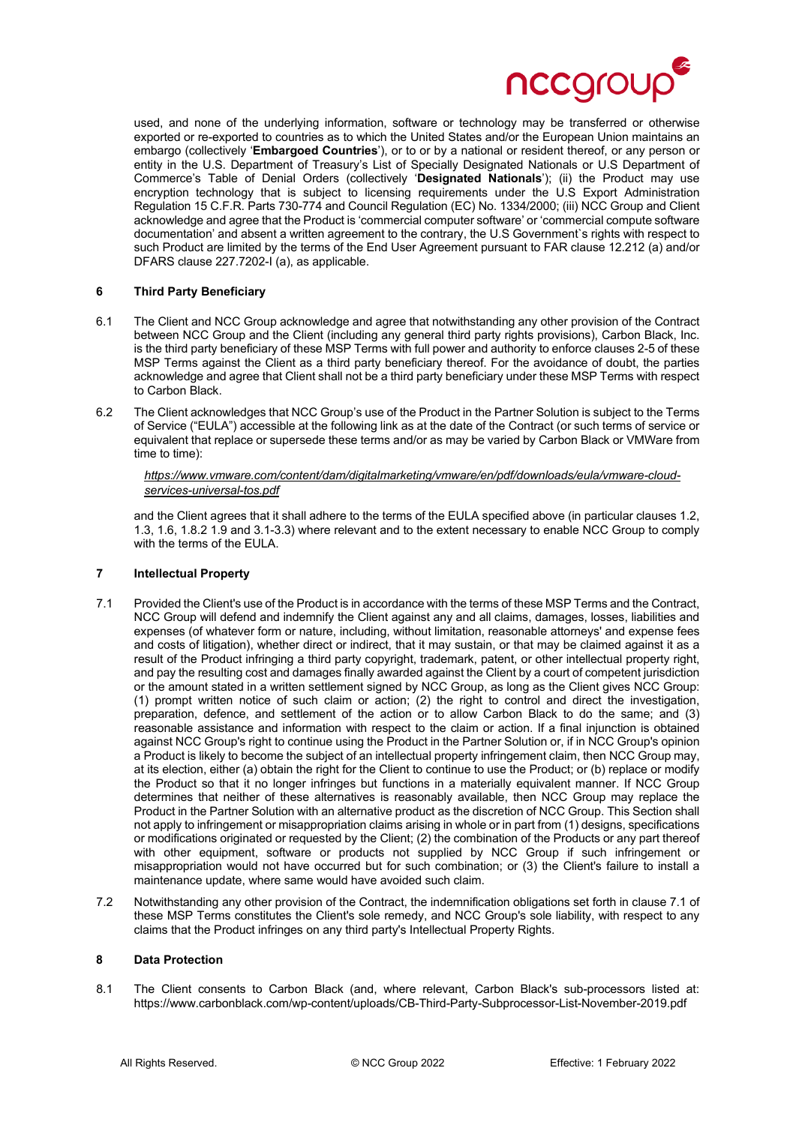

used, and none of the underlying information, software or technology may be transferred or otherwise exported or re-exported to countries as to which the United States and/or the European Union maintains an embargo (collectively '**Embargoed Countries**'), or to or by a national or resident thereof, or any person or entity in the U.S. Department of Treasury's List of Specially Designated Nationals or U.S Department of Commerce's Table of Denial Orders (collectively '**Designated Nationals**'); (ii) the Product may use encryption technology that is subject to licensing requirements under the U.S Export Administration Regulation 15 C.F.R. Parts 730-774 and Council Regulation (EC) No. 1334/2000; (iii) NCC Group and Client acknowledge and agree that the Product is 'commercial computer software' or 'commercial compute software documentation' and absent a written agreement to the contrary, the U.S Government`s rights with respect to such Product are limited by the terms of the End User Agreement pursuant to FAR clause 12.212 (a) and/or DFARS clause 227.7202-I (a), as applicable.

#### **6 Third Party Beneficiary**

- 6.1 The Client and NCC Group acknowledge and agree that notwithstanding any other provision of the Contract between NCC Group and the Client (including any general third party rights provisions), Carbon Black, Inc. is the third party beneficiary of these MSP Terms with full power and authority to enforce clauses 2-5 of these MSP Terms against the Client as a third party beneficiary thereof. For the avoidance of doubt, the parties acknowledge and agree that Client shall not be a third party beneficiary under these MSP Terms with respect to Carbon Black.
- 6.2 The Client acknowledges that NCC Group's use of the Product in the Partner Solution is subject to the Terms of Service ("EULA") accessible at the following link as at the date of the Contract (or such terms of service or equivalent that replace or supersede these terms and/or as may be varied by Carbon Black or VMWare from time to time):

#### *[https://www.vmware.com/content/dam/digitalmarketing/vmware/en/pdf/downloads/eula/vmware-cloud](https://www.vmware.com/content/dam/digitalmarketing/vmware/en/pdf/downloads/eula/vmware-cloud-services-universal-tos.pdf)[services-universal-tos.pdf](https://www.vmware.com/content/dam/digitalmarketing/vmware/en/pdf/downloads/eula/vmware-cloud-services-universal-tos.pdf)*

and the Client agrees that it shall adhere to the terms of the EULA specified above (in particular clauses 1.2, 1.3, 1.6, 1.8.2 1.9 and 3.1-3.3) where relevant and to the extent necessary to enable NCC Group to comply with the terms of the EULA.

#### **7 Intellectual Property**

- 7.1 Provided the Client's use of the Product is in accordance with the terms of these MSP Terms and the Contract, NCC Group will defend and indemnify the Client against any and all claims, damages, losses, liabilities and expenses (of whatever form or nature, including, without limitation, reasonable attorneys' and expense fees and costs of litigation), whether direct or indirect, that it may sustain, or that may be claimed against it as a result of the Product infringing a third party copyright, trademark, patent, or other intellectual property right, and pay the resulting cost and damages finally awarded against the Client by a court of competent jurisdiction or the amount stated in a written settlement signed by NCC Group, as long as the Client gives NCC Group: (1) prompt written notice of such claim or action; (2) the right to control and direct the investigation, preparation, defence, and settlement of the action or to allow Carbon Black to do the same; and (3) reasonable assistance and information with respect to the claim or action. If a final injunction is obtained against NCC Group's right to continue using the Product in the Partner Solution or, if in NCC Group's opinion a Product is likely to become the subject of an intellectual property infringement claim, then NCC Group may, at its election, either (a) obtain the right for the Client to continue to use the Product; or (b) replace or modify the Product so that it no longer infringes but functions in a materially equivalent manner. If NCC Group determines that neither of these alternatives is reasonably available, then NCC Group may replace the Product in the Partner Solution with an alternative product as the discretion of NCC Group. This Section shall not apply to infringement or misappropriation claims arising in whole or in part from (1) designs, specifications or modifications originated or requested by the Client; (2) the combination of the Products or any part thereof with other equipment, software or products not supplied by NCC Group if such infringement or misappropriation would not have occurred but for such combination; or (3) the Client's failure to install a maintenance update, where same would have avoided such claim.
- 7.2 Notwithstanding any other provision of the Contract, the indemnification obligations set forth in clause 7.1 of these MSP Terms constitutes the Client's sole remedy, and NCC Group's sole liability, with respect to any claims that the Product infringes on any third party's Intellectual Property Rights.

#### **8 Data Protection**

8.1 The Client consents to Carbon Black (and, where relevant, Carbon Black's sub-processors listed at: https://www.carbonblack.com/wp-content/uploads/CB-Third-Party-Subprocessor-List-November-2019.pdf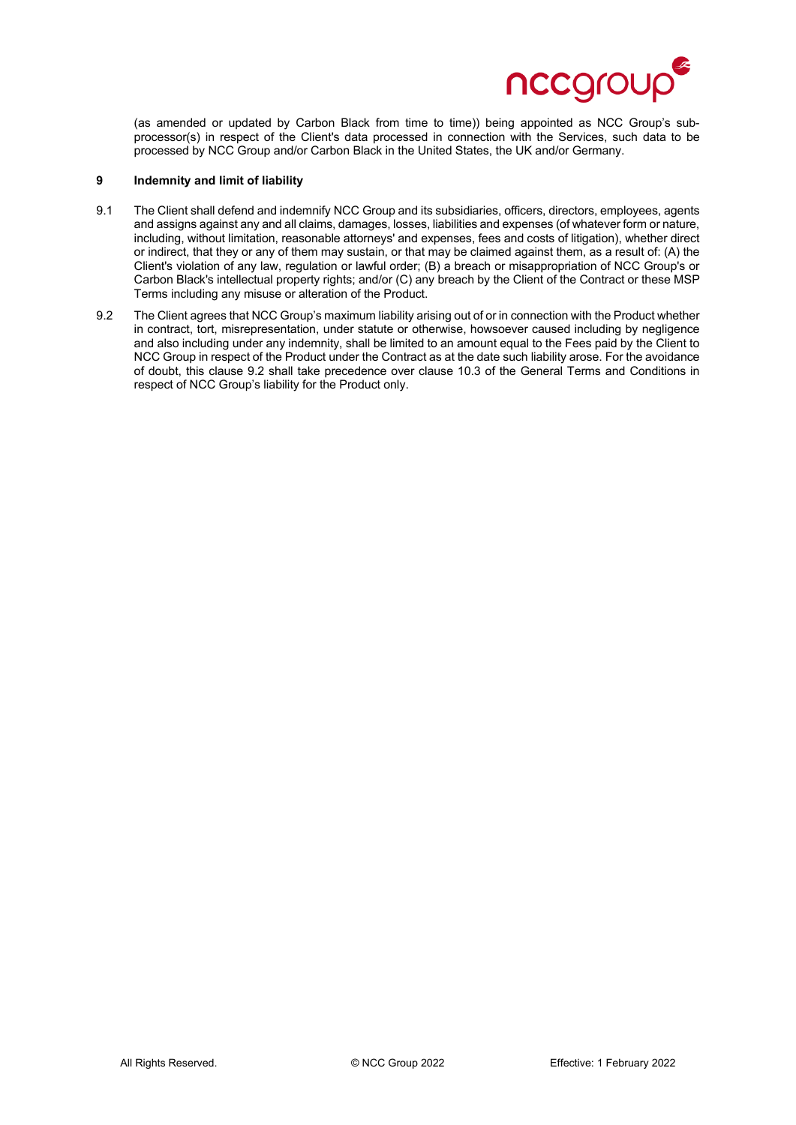

(as amended or updated by Carbon Black from time to time)) being appointed as NCC Group's subprocessor(s) in respect of the Client's data processed in connection with the Services, such data to be processed by NCC Group and/or Carbon Black in the United States, the UK and/or Germany.

#### **9 Indemnity and limit of liability**

- 9.1 The Client shall defend and indemnify NCC Group and its subsidiaries, officers, directors, employees, agents and assigns against any and all claims, damages, losses, liabilities and expenses (of whatever form or nature, including, without limitation, reasonable attorneys' and expenses, fees and costs of litigation), whether direct or indirect, that they or any of them may sustain, or that may be claimed against them, as a result of: (A) the Client's violation of any law, regulation or lawful order; (B) a breach or misappropriation of NCC Group's or Carbon Black's intellectual property rights; and/or (C) any breach by the Client of the Contract or these MSP Terms including any misuse or alteration of the Product.
- 9.2 The Client agrees that NCC Group's maximum liability arising out of or in connection with the Product whether in contract, tort, misrepresentation, under statute or otherwise, howsoever caused including by negligence and also including under any indemnity, shall be limited to an amount equal to the Fees paid by the Client to NCC Group in respect of the Product under the Contract as at the date such liability arose. For the avoidance of doubt, this clause 9.2 shall take precedence over clause 10.3 of the General Terms and Conditions in respect of NCC Group's liability for the Product only.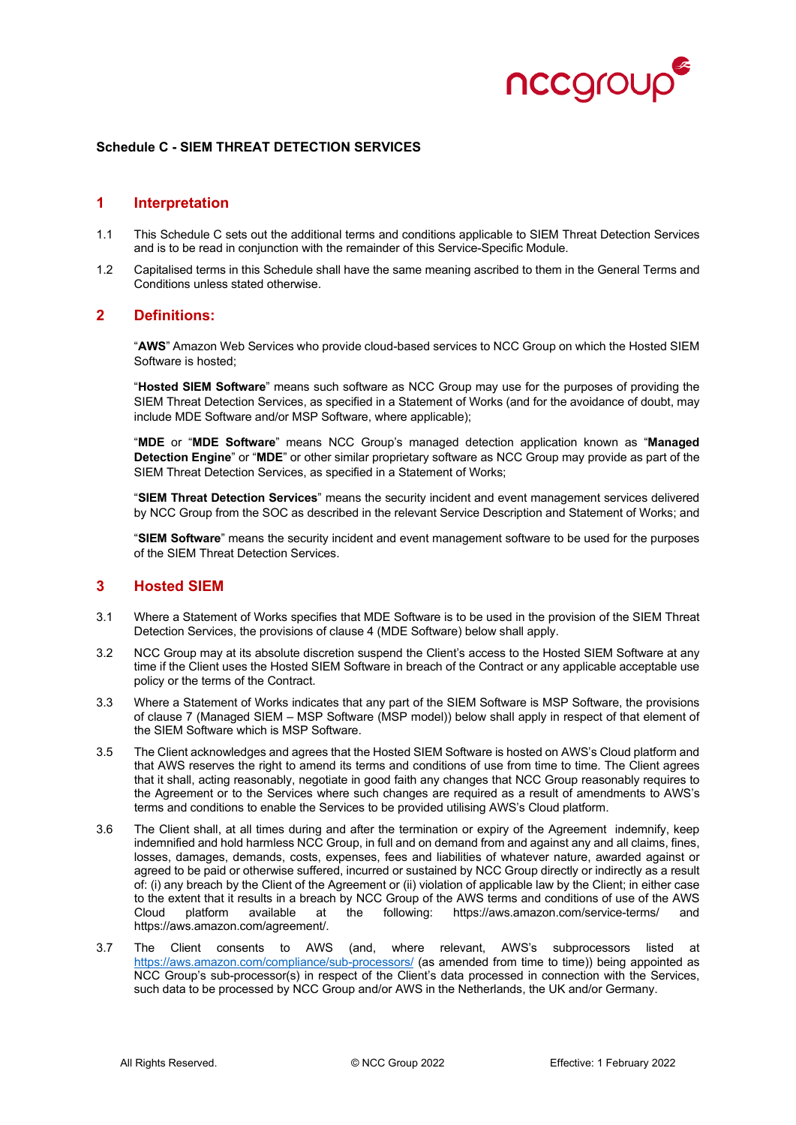

#### **Schedule C - SIEM THREAT DETECTION SERVICES**

#### **1 Interpretation**

- 1.1 This Schedule C sets out the additional terms and conditions applicable to SIEM Threat Detection Services and is to be read in conjunction with the remainder of this Service-Specific Module.
- 1.2 Capitalised terms in this Schedule shall have the same meaning ascribed to them in the General Terms and Conditions unless stated otherwise.

### **2 Definitions:**

"**AWS**" Amazon Web Services who provide cloud-based services to NCC Group on which the Hosted SIEM Software is hosted;

"**Hosted SIEM Software**" means such software as NCC Group may use for the purposes of providing the SIEM Threat Detection Services, as specified in a Statement of Works (and for the avoidance of doubt, may include MDE Software and/or MSP Software, where applicable);

"**MDE** or "**MDE Software**" means NCC Group's managed detection application known as "**Managed Detection Engine**" or "**MDE**" or other similar proprietary software as NCC Group may provide as part of the SIEM Threat Detection Services, as specified in a Statement of Works;

"**SIEM Threat Detection Services**" means the security incident and event management services delivered by NCC Group from the SOC as described in the relevant Service Description and Statement of Works; and

"**SIEM Software**" means the security incident and event management software to be used for the purposes of the SIEM Threat Detection Services.

#### **3 Hosted SIEM**

- 3.1 Where a Statement of Works specifies that MDE Software is to be used in the provision of the SIEM Threat Detection Services, the provisions of clause 4 (MDE Software) below shall apply.
- 3.2 NCC Group may at its absolute discretion suspend the Client's access to the Hosted SIEM Software at any time if the Client uses the Hosted SIEM Software in breach of the Contract or any applicable acceptable use policy or the terms of the Contract.
- 3.3 Where a Statement of Works indicates that any part of the SIEM Software is MSP Software, the provisions of clause 7 (Managed SIEM – MSP Software (MSP model)) below shall apply in respect of that element of the SIEM Software which is MSP Software.
- 3.5 The Client acknowledges and agrees that the Hosted SIEM Software is hosted on AWS's Cloud platform and that AWS reserves the right to amend its terms and conditions of use from time to time. The Client agrees that it shall, acting reasonably, negotiate in good faith any changes that NCC Group reasonably requires to the Agreement or to the Services where such changes are required as a result of amendments to AWS's terms and conditions to enable the Services to be provided utilising AWS's Cloud platform.
- 3.6 The Client shall, at all times during and after the termination or expiry of the Agreement indemnify, keep indemnified and hold harmless NCC Group, in full and on demand from and against any and all claims, fines, losses, damages, demands, costs, expenses, fees and liabilities of whatever nature, awarded against or agreed to be paid or otherwise suffered, incurred or sustained by NCC Group directly or indirectly as a result of: (i) any breach by the Client of the Agreement or (ii) violation of applicable law by the Client; in either case to the extent that it results in a breach by NCC Group of the AWS terms and conditions of use of the AWS  $\mu$  platform available at the following: [https://aws.amazon.com/agreement/.](https://aws.amazon.com/agreement/)
- 3.7 The Client consents to AWS (and, where relevant, AWS's subprocessors listed at <https://aws.amazon.com/compliance/sub-processors/> (as amended from time to time)) being appointed as NCC Group's sub-processor(s) in respect of the Client's data processed in connection with the Services, such data to be processed by NCC Group and/or AWS in the Netherlands, the UK and/or Germany.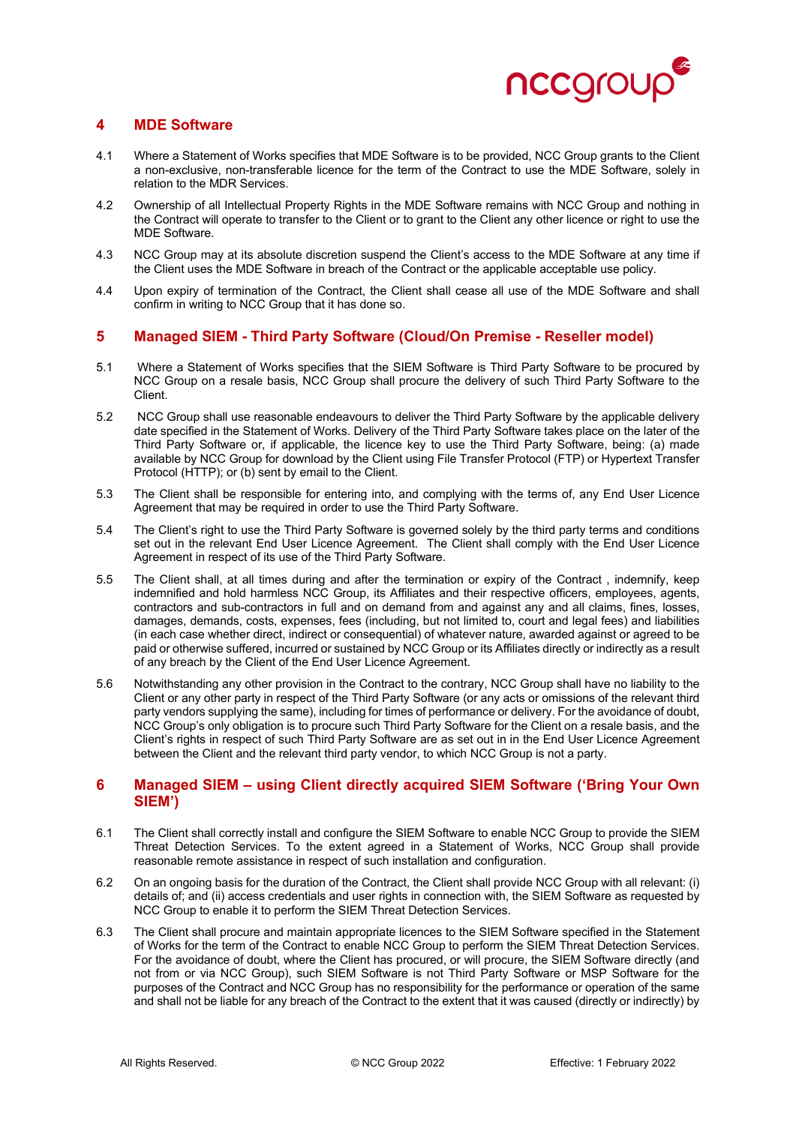

# **4 MDE Software**

- 4.1 Where a Statement of Works specifies that MDE Software is to be provided, NCC Group grants to the Client a non-exclusive, non-transferable licence for the term of the Contract to use the MDE Software, solely in relation to the MDR Services.
- 4.2 Ownership of all Intellectual Property Rights in the MDE Software remains with NCC Group and nothing in the Contract will operate to transfer to the Client or to grant to the Client any other licence or right to use the MDE Software.
- 4.3 NCC Group may at its absolute discretion suspend the Client's access to the MDE Software at any time if the Client uses the MDE Software in breach of the Contract or the applicable acceptable use policy.
- 4.4 Upon expiry of termination of the Contract, the Client shall cease all use of the MDE Software and shall confirm in writing to NCC Group that it has done so.

### **5 Managed SIEM - Third Party Software (Cloud/On Premise - Reseller model)**

- 5.1 Where a Statement of Works specifies that the SIEM Software is Third Party Software to be procured by NCC Group on a resale basis, NCC Group shall procure the delivery of such Third Party Software to the Client.
- 5.2 NCC Group shall use reasonable endeavours to deliver the Third Party Software by the applicable delivery date specified in the Statement of Works. Delivery of the Third Party Software takes place on the later of the Third Party Software or, if applicable, the licence key to use the Third Party Software, being: (a) made available by NCC Group for download by the Client using File Transfer Protocol (FTP) or Hypertext Transfer Protocol (HTTP); or (b) sent by email to the Client.
- 5.3 The Client shall be responsible for entering into, and complying with the terms of, any End User Licence Agreement that may be required in order to use the Third Party Software.
- 5.4 The Client's right to use the Third Party Software is governed solely by the third party terms and conditions set out in the relevant End User Licence Agreement. The Client shall comply with the End User Licence Agreement in respect of its use of the Third Party Software.
- 5.5 The Client shall, at all times during and after the termination or expiry of the Contract , indemnify, keep indemnified and hold harmless NCC Group, its Affiliates and their respective officers, employees, agents, contractors and sub-contractors in full and on demand from and against any and all claims, fines, losses, damages, demands, costs, expenses, fees (including, but not limited to, court and legal fees) and liabilities (in each case whether direct, indirect or consequential) of whatever nature, awarded against or agreed to be paid or otherwise suffered, incurred or sustained by NCC Group or its Affiliates directly or indirectly as a result of any breach by the Client of the End User Licence Agreement.
- 5.6 Notwithstanding any other provision in the Contract to the contrary, NCC Group shall have no liability to the Client or any other party in respect of the Third Party Software (or any acts or omissions of the relevant third party vendors supplying the same), including for times of performance or delivery. For the avoidance of doubt, NCC Group's only obligation is to procure such Third Party Software for the Client on a resale basis, and the Client's rights in respect of such Third Party Software are as set out in in the End User Licence Agreement between the Client and the relevant third party vendor, to which NCC Group is not a party.

# **6 Managed SIEM – using Client directly acquired SIEM Software ('Bring Your Own SIEM')**

- 6.1 The Client shall correctly install and configure the SIEM Software to enable NCC Group to provide the SIEM Threat Detection Services. To the extent agreed in a Statement of Works, NCC Group shall provide reasonable remote assistance in respect of such installation and configuration.
- 6.2 On an ongoing basis for the duration of the Contract, the Client shall provide NCC Group with all relevant: (i) details of; and (ii) access credentials and user rights in connection with, the SIEM Software as requested by NCC Group to enable it to perform the SIEM Threat Detection Services.
- 6.3 The Client shall procure and maintain appropriate licences to the SIEM Software specified in the Statement of Works for the term of the Contract to enable NCC Group to perform the SIEM Threat Detection Services. For the avoidance of doubt, where the Client has procured, or will procure, the SIEM Software directly (and not from or via NCC Group), such SIEM Software is not Third Party Software or MSP Software for the purposes of the Contract and NCC Group has no responsibility for the performance or operation of the same and shall not be liable for any breach of the Contract to the extent that it was caused (directly or indirectly) by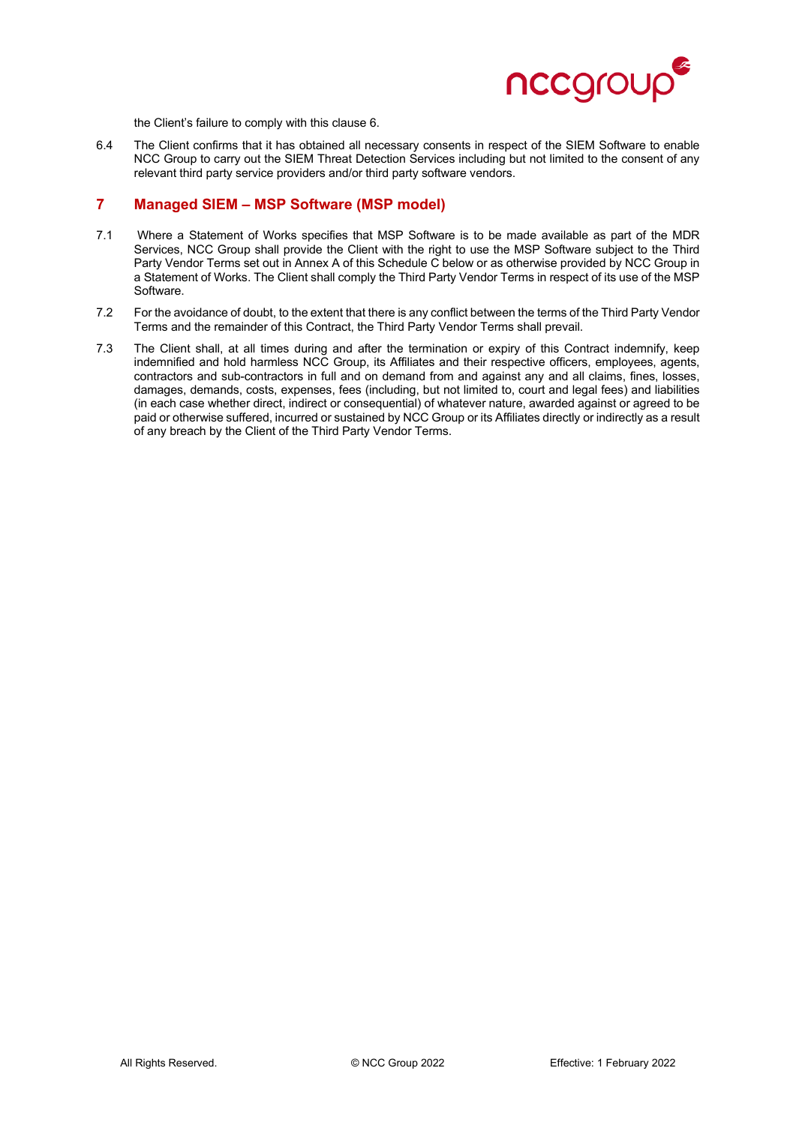

the Client's failure to comply with this clause 6.

6.4 The Client confirms that it has obtained all necessary consents in respect of the SIEM Software to enable NCC Group to carry out the SIEM Threat Detection Services including but not limited to the consent of any relevant third party service providers and/or third party software vendors.

# **7 Managed SIEM – MSP Software (MSP model)**

- 7.1 Where a Statement of Works specifies that MSP Software is to be made available as part of the MDR Services, NCC Group shall provide the Client with the right to use the MSP Software subject to the Third Party Vendor Terms set out in Annex A of this Schedule C below or as otherwise provided by NCC Group in a Statement of Works. The Client shall comply the Third Party Vendor Terms in respect of its use of the MSP Software.
- 7.2 For the avoidance of doubt, to the extent that there is any conflict between the terms of the Third Party Vendor Terms and the remainder of this Contract, the Third Party Vendor Terms shall prevail.
- 7.3 The Client shall, at all times during and after the termination or expiry of this Contract indemnify, keep indemnified and hold harmless NCC Group, its Affiliates and their respective officers, employees, agents, contractors and sub-contractors in full and on demand from and against any and all claims, fines, losses, damages, demands, costs, expenses, fees (including, but not limited to, court and legal fees) and liabilities (in each case whether direct, indirect or consequential) of whatever nature, awarded against or agreed to be paid or otherwise suffered, incurred or sustained by NCC Group or its Affiliates directly or indirectly as a result of any breach by the Client of the Third Party Vendor Terms.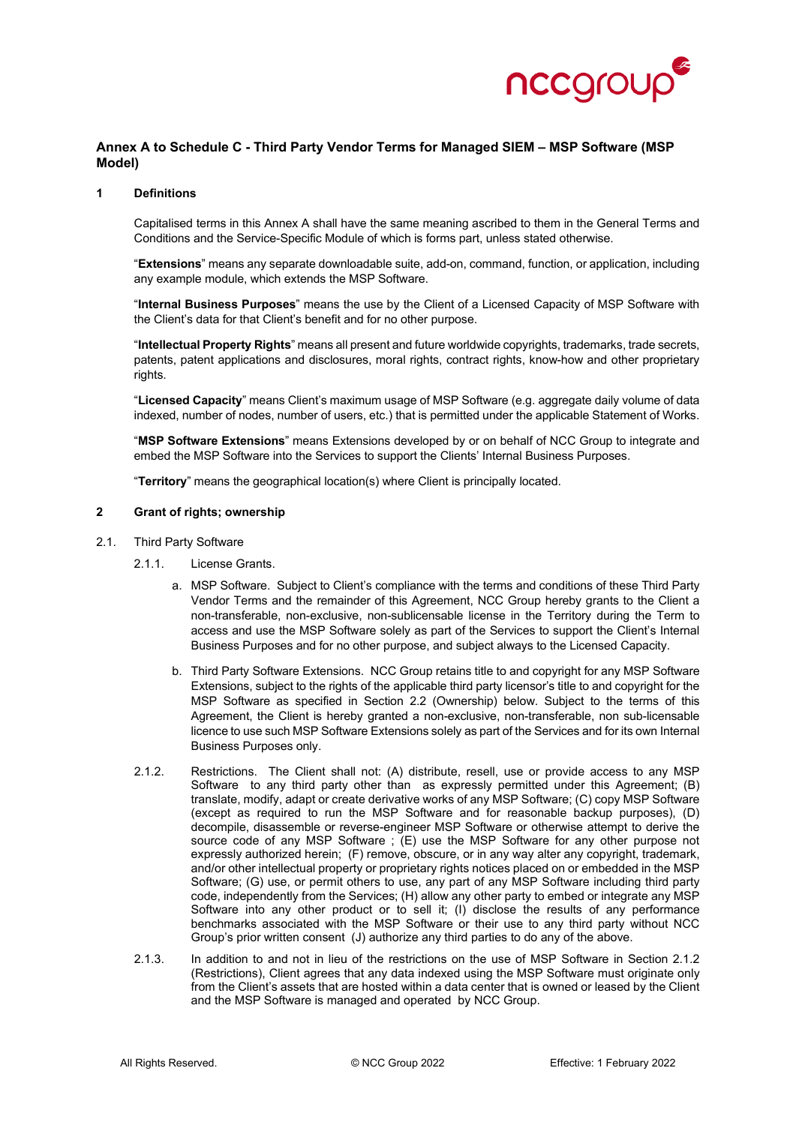

### **Annex A to Schedule C - Third Party Vendor Terms for Managed SIEM – MSP Software (MSP Model)**

#### **1 Definitions**

Capitalised terms in this Annex A shall have the same meaning ascribed to them in the General Terms and Conditions and the Service-Specific Module of which is forms part, unless stated otherwise.

"**Extensions**" means any separate downloadable suite, add-on, command, function, or application, including any example module, which extends the MSP Software.

"**Internal Business Purposes**" means the use by the Client of a Licensed Capacity of MSP Software with the Client's data for that Client's benefit and for no other purpose.

"**Intellectual Property Rights**" means all present and future worldwide copyrights, trademarks, trade secrets, patents, patent applications and disclosures, moral rights, contract rights, know-how and other proprietary rights.

"**Licensed Capacity**" means Client's maximum usage of MSP Software (e.g. aggregate daily volume of data indexed, number of nodes, number of users, etc.) that is permitted under the applicable Statement of Works.

"**MSP Software Extensions**" means Extensions developed by or on behalf of NCC Group to integrate and embed the MSP Software into the Services to support the Clients' Internal Business Purposes.

"**Territory**" means the geographical location(s) where Client is principally located.

#### **2 Grant of rights; ownership**

- 2.1. Third Party Software
	- 2.1.1. License Grants.
		- a. MSP Software. Subject to Client's compliance with the terms and conditions of these Third Party Vendor Terms and the remainder of this Agreement, NCC Group hereby grants to the Client a non-transferable, non-exclusive, non-sublicensable license in the Territory during the Term to access and use the MSP Software solely as part of the Services to support the Client's Internal Business Purposes and for no other purpose, and subject always to the Licensed Capacity.
		- b. Third Party Software Extensions. NCC Group retains title to and copyright for any MSP Software Extensions, subject to the rights of the applicable third party licensor's title to and copyright for the MSP Software as specified in Section 2.2 (Ownership) below. Subject to the terms of this Agreement, the Client is hereby granted a non-exclusive, non-transferable, non sub-licensable licence to use such MSP Software Extensions solely as part of the Services and for its own Internal Business Purposes only.
	- 2.1.2. Restrictions. The Client shall not: (A) distribute, resell, use or provide access to any MSP Software to any third party other than as expressly permitted under this Agreement; (B) translate, modify, adapt or create derivative works of any MSP Software; (C) copy MSP Software (except as required to run the MSP Software and for reasonable backup purposes), (D) decompile, disassemble or reverse-engineer MSP Software or otherwise attempt to derive the source code of any MSP Software ; (E) use the MSP Software for any other purpose not expressly authorized herein; (F) remove, obscure, or in any way alter any copyright, trademark, and/or other intellectual property or proprietary rights notices placed on or embedded in the MSP Software; (G) use, or permit others to use, any part of any MSP Software including third party code, independently from the Services; (H) allow any other party to embed or integrate any MSP Software into any other product or to sell it; (I) disclose the results of any performance benchmarks associated with the MSP Software or their use to any third party without NCC Group's prior written consent (J) authorize any third parties to do any of the above.
	- 2.1.3. In addition to and not in lieu of the restrictions on the use of MSP Software in Section 2.1.2 (Restrictions), Client agrees that any data indexed using the MSP Software must originate only from the Client's assets that are hosted within a data center that is owned or leased by the Client and the MSP Software is managed and operated by NCC Group.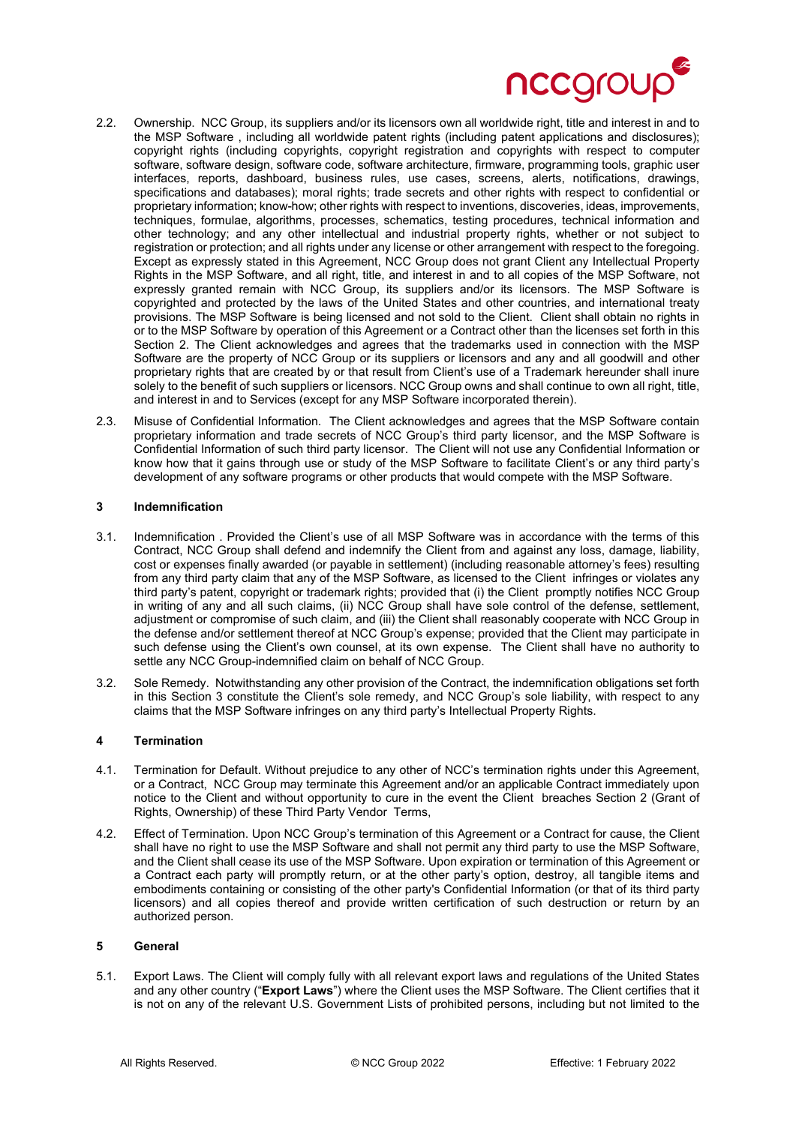

- 2.2. Ownership. NCC Group, its suppliers and/or its licensors own all worldwide right, title and interest in and to the MSP Software , including all worldwide patent rights (including patent applications and disclosures); copyright rights (including copyrights, copyright registration and copyrights with respect to computer software, software design, software code, software architecture, firmware, programming tools, graphic user interfaces, reports, dashboard, business rules, use cases, screens, alerts, notifications, drawings, specifications and databases); moral rights; trade secrets and other rights with respect to confidential or proprietary information; know-how; other rights with respect to inventions, discoveries, ideas, improvements, techniques, formulae, algorithms, processes, schematics, testing procedures, technical information and other technology; and any other intellectual and industrial property rights, whether or not subject to registration or protection; and all rights under any license or other arrangement with respect to the foregoing. Except as expressly stated in this Agreement, NCC Group does not grant Client any Intellectual Property Rights in the MSP Software, and all right, title, and interest in and to all copies of the MSP Software, not expressly granted remain with NCC Group, its suppliers and/or its licensors. The MSP Software is copyrighted and protected by the laws of the United States and other countries, and international treaty provisions. The MSP Software is being licensed and not sold to the Client. Client shall obtain no rights in or to the MSP Software by operation of this Agreement or a Contract other than the licenses set forth in this Section 2. The Client acknowledges and agrees that the trademarks used in connection with the MSP Software are the property of NCC Group or its suppliers or licensors and any and all goodwill and other proprietary rights that are created by or that result from Client's use of a Trademark hereunder shall inure solely to the benefit of such suppliers or licensors. NCC Group owns and shall continue to own all right, title, and interest in and to Services (except for any MSP Software incorporated therein).
- 2.3. Misuse of Confidential Information. The Client acknowledges and agrees that the MSP Software contain proprietary information and trade secrets of NCC Group's third party licensor, and the MSP Software is Confidential Information of such third party licensor. The Client will not use any Confidential Information or know how that it gains through use or study of the MSP Software to facilitate Client's or any third party's development of any software programs or other products that would compete with the MSP Software.

#### **3 Indemnification**

- 3.1. Indemnification . Provided the Client's use of all MSP Software was in accordance with the terms of this Contract, NCC Group shall defend and indemnify the Client from and against any loss, damage, liability, cost or expenses finally awarded (or payable in settlement) (including reasonable attorney's fees) resulting from any third party claim that any of the MSP Software, as licensed to the Client infringes or violates any third party's patent, copyright or trademark rights; provided that (i) the Client promptly notifies NCC Group in writing of any and all such claims, (ii) NCC Group shall have sole control of the defense, settlement, adjustment or compromise of such claim, and (iii) the Client shall reasonably cooperate with NCC Group in the defense and/or settlement thereof at NCC Group's expense; provided that the Client may participate in such defense using the Client's own counsel, at its own expense. The Client shall have no authority to settle any NCC Group-indemnified claim on behalf of NCC Group.
- 3.2. Sole Remedy. Notwithstanding any other provision of the Contract, the indemnification obligations set forth in this Section 3 constitute the Client's sole remedy, and NCC Group's sole liability, with respect to any claims that the MSP Software infringes on any third party's Intellectual Property Rights.

#### **4 Termination**

- 4.1. Termination for Default. Without prejudice to any other of NCC's termination rights under this Agreement, or a Contract, NCC Group may terminate this Agreement and/or an applicable Contract immediately upon notice to the Client and without opportunity to cure in the event the Client breaches Section 2 (Grant of Rights, Ownership) of these Third Party Vendor Terms,
- 4.2. Effect of Termination. Upon NCC Group's termination of this Agreement or a Contract for cause, the Client shall have no right to use the MSP Software and shall not permit any third party to use the MSP Software, and the Client shall cease its use of the MSP Software. Upon expiration or termination of this Agreement or a Contract each party will promptly return, or at the other party's option, destroy, all tangible items and embodiments containing or consisting of the other party's Confidential Information (or that of its third party licensors) and all copies thereof and provide written certification of such destruction or return by an authorized person.

#### **5 General**

5.1. Export Laws. The Client will comply fully with all relevant export laws and regulations of the United States and any other country ("**Export Laws**") where the Client uses the MSP Software. The Client certifies that it is not on any of the relevant U.S. Government Lists of prohibited persons, including but not limited to the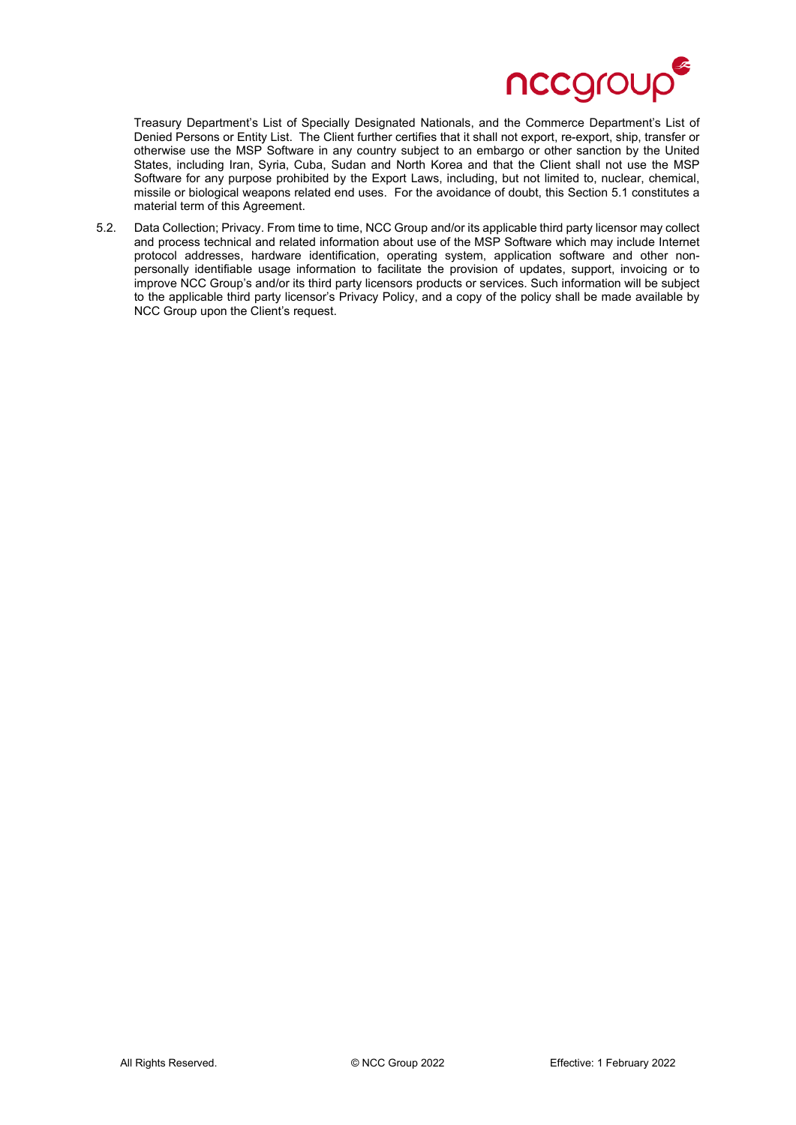

Treasury Department's List of Specially Designated Nationals, and the Commerce Department's List of Denied Persons or Entity List. The Client further certifies that it shall not export, re-export, ship, transfer or otherwise use the MSP Software in any country subject to an embargo or other sanction by the United States, including Iran, Syria, Cuba, Sudan and North Korea and that the Client shall not use the MSP Software for any purpose prohibited by the Export Laws, including, but not limited to, nuclear, chemical, missile or biological weapons related end uses. For the avoidance of doubt, this Section 5.1 constitutes a material term of this Agreement.

5.2. Data Collection; Privacy. From time to time, NCC Group and/or its applicable third party licensor may collect and process technical and related information about use of the MSP Software which may include Internet protocol addresses, hardware identification, operating system, application software and other nonpersonally identifiable usage information to facilitate the provision of updates, support, invoicing or to improve NCC Group's and/or its third party licensors products or services. Such information will be subject to the applicable third party licensor's Privacy Policy, and a copy of the policy shall be made available by NCC Group upon the Client's request.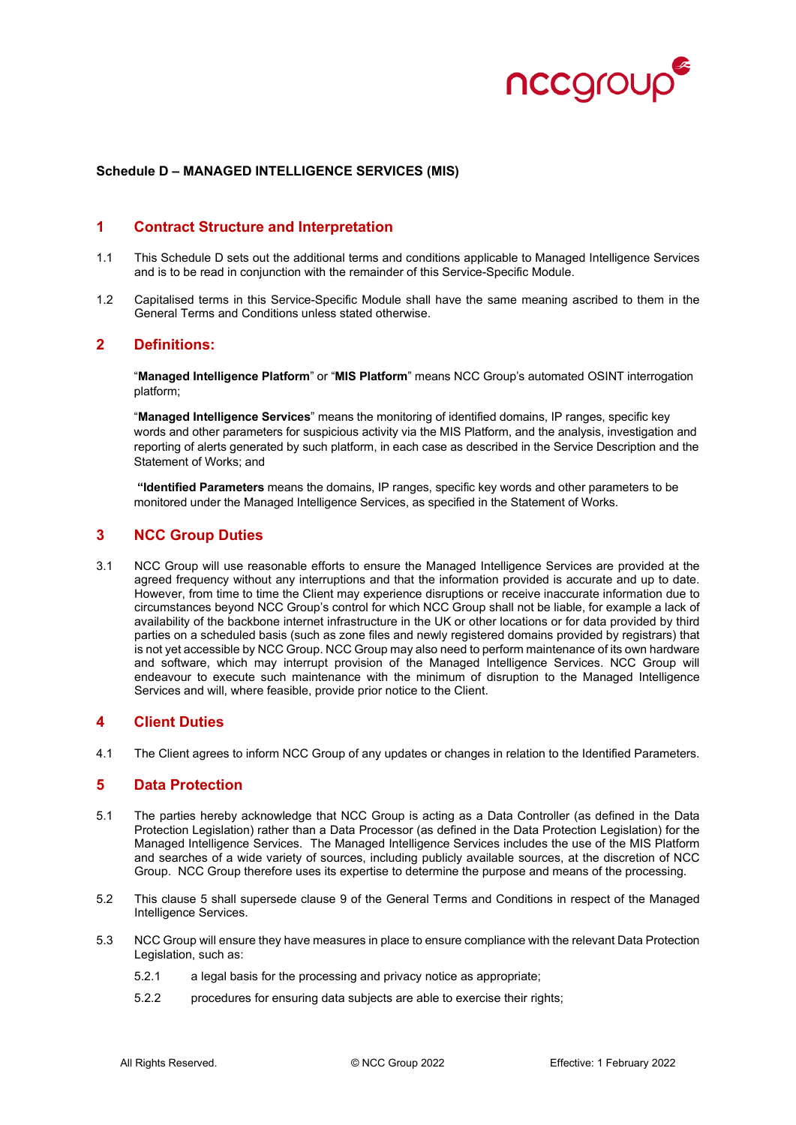

#### **Schedule D – MANAGED INTELLIGENCE SERVICES (MIS)**

## **1 Contract Structure and Interpretation**

- 1.1 This Schedule D sets out the additional terms and conditions applicable to Managed Intelligence Services and is to be read in conjunction with the remainder of this Service-Specific Module.
- 1.2 Capitalised terms in this Service-Specific Module shall have the same meaning ascribed to them in the General Terms and Conditions unless stated otherwise.

#### **2 Definitions:**

"**Managed Intelligence Platform**" or "**MIS Platform**" means NCC Group's automated OSINT interrogation platform;

"**Managed Intelligence Services**" means the monitoring of identified domains, IP ranges, specific key words and other parameters for suspicious activity via the MIS Platform, and the analysis, investigation and reporting of alerts generated by such platform, in each case as described in the Service Description and the Statement of Works; and

**"Identified Parameters** means the domains, IP ranges, specific key words and other parameters to be monitored under the Managed Intelligence Services, as specified in the Statement of Works.

# **3 NCC Group Duties**

3.1 NCC Group will use reasonable efforts to ensure the Managed Intelligence Services are provided at the agreed frequency without any interruptions and that the information provided is accurate and up to date. However, from time to time the Client may experience disruptions or receive inaccurate information due to circumstances beyond NCC Group's control for which NCC Group shall not be liable, for example a lack of availability of the backbone internet infrastructure in the UK or other locations or for data provided by third parties on a scheduled basis (such as zone files and newly registered domains provided by registrars) that is not yet accessible by NCC Group. NCC Group may also need to perform maintenance of its own hardware and software, which may interrupt provision of the Managed Intelligence Services. NCC Group will endeavour to execute such maintenance with the minimum of disruption to the Managed Intelligence Services and will, where feasible, provide prior notice to the Client.

### **4 Client Duties**

4.1 The Client agrees to inform NCC Group of any updates or changes in relation to the Identified Parameters.

### **5 Data Protection**

- 5.1 The parties hereby acknowledge that NCC Group is acting as a Data Controller (as defined in the Data Protection Legislation) rather than a Data Processor (as defined in the Data Protection Legislation) for the Managed Intelligence Services. The Managed Intelligence Services includes the use of the MIS Platform and searches of a wide variety of sources, including publicly available sources, at the discretion of NCC Group. NCC Group therefore uses its expertise to determine the purpose and means of the processing.
- 5.2 This clause 5 shall supersede clause 9 of the General Terms and Conditions in respect of the Managed Intelligence Services.
- 5.3 NCC Group will ensure they have measures in place to ensure compliance with the relevant Data Protection Legislation, such as:
	- 5.2.1 a legal basis for the processing and privacy notice as appropriate;
	- 5.2.2 procedures for ensuring data subjects are able to exercise their rights;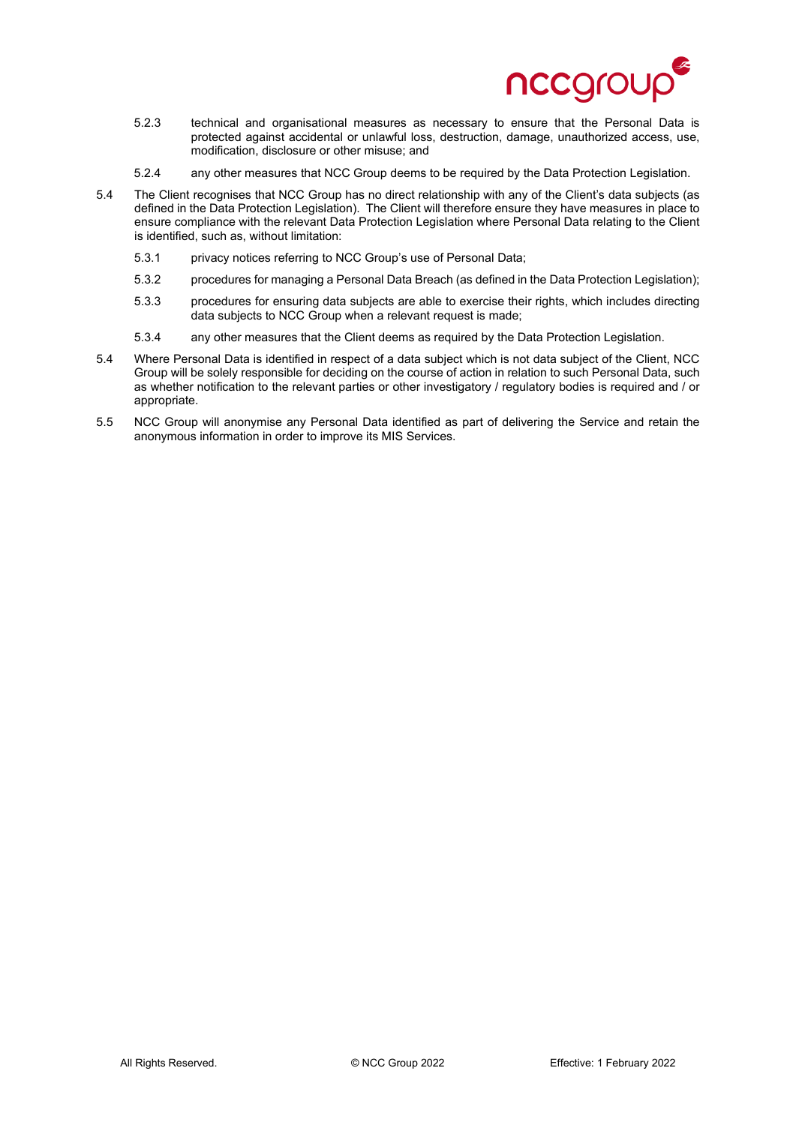

- 5.2.3 technical and organisational measures as necessary to ensure that the Personal Data is protected against accidental or unlawful loss, destruction, damage, unauthorized access, use, modification, disclosure or other misuse; and
- 5.2.4 any other measures that NCC Group deems to be required by the Data Protection Legislation.
- 5.4 The Client recognises that NCC Group has no direct relationship with any of the Client's data subjects (as defined in the Data Protection Legislation). The Client will therefore ensure they have measures in place to ensure compliance with the relevant Data Protection Legislation where Personal Data relating to the Client is identified, such as, without limitation:
	- 5.3.1 privacy notices referring to NCC Group's use of Personal Data;
	- 5.3.2 procedures for managing a Personal Data Breach (as defined in the Data Protection Legislation);
	- 5.3.3 procedures for ensuring data subjects are able to exercise their rights, which includes directing data subjects to NCC Group when a relevant request is made;
	- 5.3.4 any other measures that the Client deems as required by the Data Protection Legislation.
- 5.4 Where Personal Data is identified in respect of a data subject which is not data subject of the Client, NCC Group will be solely responsible for deciding on the course of action in relation to such Personal Data, such as whether notification to the relevant parties or other investigatory / regulatory bodies is required and / or appropriate.
- 5.5 NCC Group will anonymise any Personal Data identified as part of delivering the Service and retain the anonymous information in order to improve its MIS Services.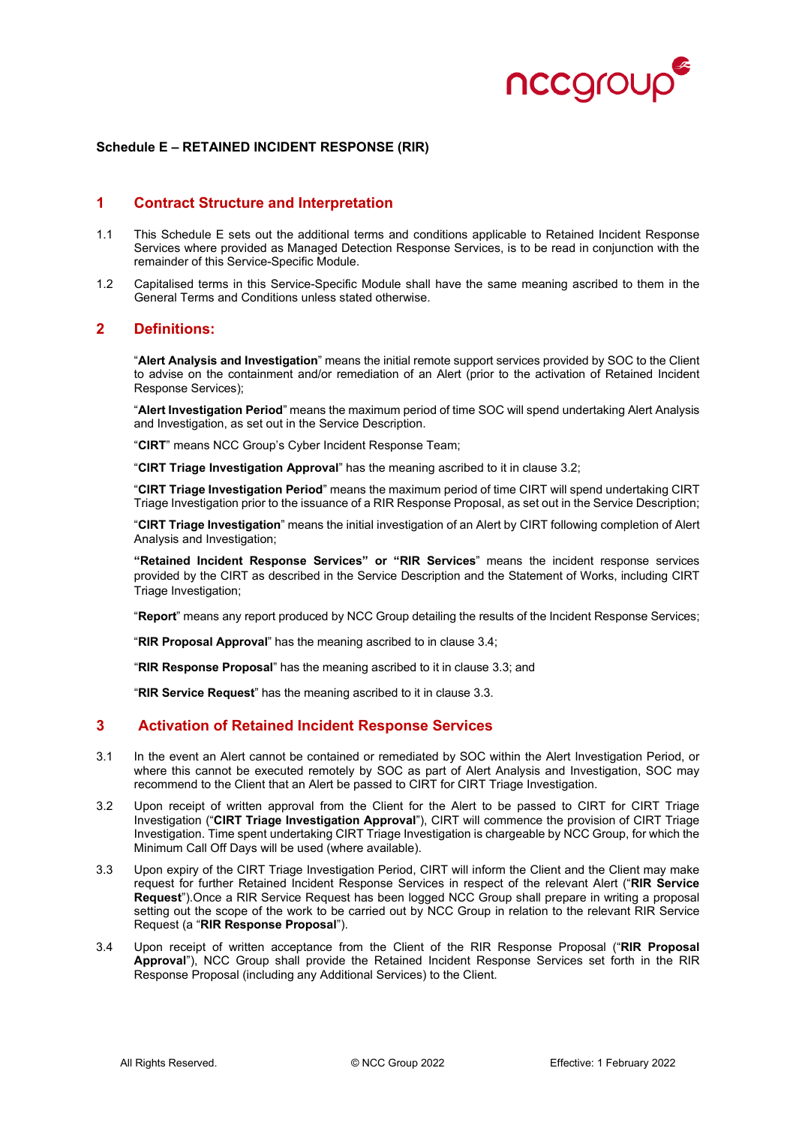

#### **Schedule E – RETAINED INCIDENT RESPONSE (RIR)**

#### **1 Contract Structure and Interpretation**

- 1.1 This Schedule E sets out the additional terms and conditions applicable to Retained Incident Response Services where provided as Managed Detection Response Services, is to be read in conjunction with the remainder of this Service-Specific Module.
- 1.2 Capitalised terms in this Service-Specific Module shall have the same meaning ascribed to them in the General Terms and Conditions unless stated otherwise.

## **2 Definitions:**

"**Alert Analysis and Investigation**" means the initial remote support services provided by SOC to the Client to advise on the containment and/or remediation of an Alert (prior to the activation of Retained Incident Response Services);

"**Alert Investigation Period**" means the maximum period of time SOC will spend undertaking Alert Analysis and Investigation, as set out in the Service Description.

"**CIRT**" means NCC Group's Cyber Incident Response Team;

"**CIRT Triage Investigation Approval**" has the meaning ascribed to it in clause 3.2;

"**CIRT Triage Investigation Period**" means the maximum period of time CIRT will spend undertaking CIRT Triage Investigation prior to the issuance of a RIR Response Proposal, as set out in the Service Description;

"**CIRT Triage Investigation**" means the initial investigation of an Alert by CIRT following completion of Alert Analysis and Investigation;

**"Retained Incident Response Services" or "RIR Services**" means the incident response services provided by the CIRT as described in the Service Description and the Statement of Works, including CIRT Triage Investigation;

"**Report**" means any report produced by NCC Group detailing the results of the Incident Response Services;

"**RIR Proposal Approval**" has the meaning ascribed to in clause 3.4;

"**RIR Response Proposal**" has the meaning ascribed to it in clause 3.3; and

"**RIR Service Request**" has the meaning ascribed to it in clause 3.3.

## **3 Activation of Retained Incident Response Services**

- 3.1 In the event an Alert cannot be contained or remediated by SOC within the Alert Investigation Period, or where this cannot be executed remotely by SOC as part of Alert Analysis and Investigation, SOC may recommend to the Client that an Alert be passed to CIRT for CIRT Triage Investigation.
- 3.2 Upon receipt of written approval from the Client for the Alert to be passed to CIRT for CIRT Triage Investigation ("**CIRT Triage Investigation Approval**"), CIRT will commence the provision of CIRT Triage Investigation. Time spent undertaking CIRT Triage Investigation is chargeable by NCC Group, for which the Minimum Call Off Days will be used (where available).
- 3.3 Upon expiry of the CIRT Triage Investigation Period, CIRT will inform the Client and the Client may make request for further Retained Incident Response Services in respect of the relevant Alert ("**RIR Service Request**").Once a RIR Service Request has been logged NCC Group shall prepare in writing a proposal setting out the scope of the work to be carried out by NCC Group in relation to the relevant RIR Service Request (a "**RIR Response Proposal**").
- 3.4 Upon receipt of written acceptance from the Client of the RIR Response Proposal ("**RIR Proposal Approval**"), NCC Group shall provide the Retained Incident Response Services set forth in the RIR Response Proposal (including any Additional Services) to the Client.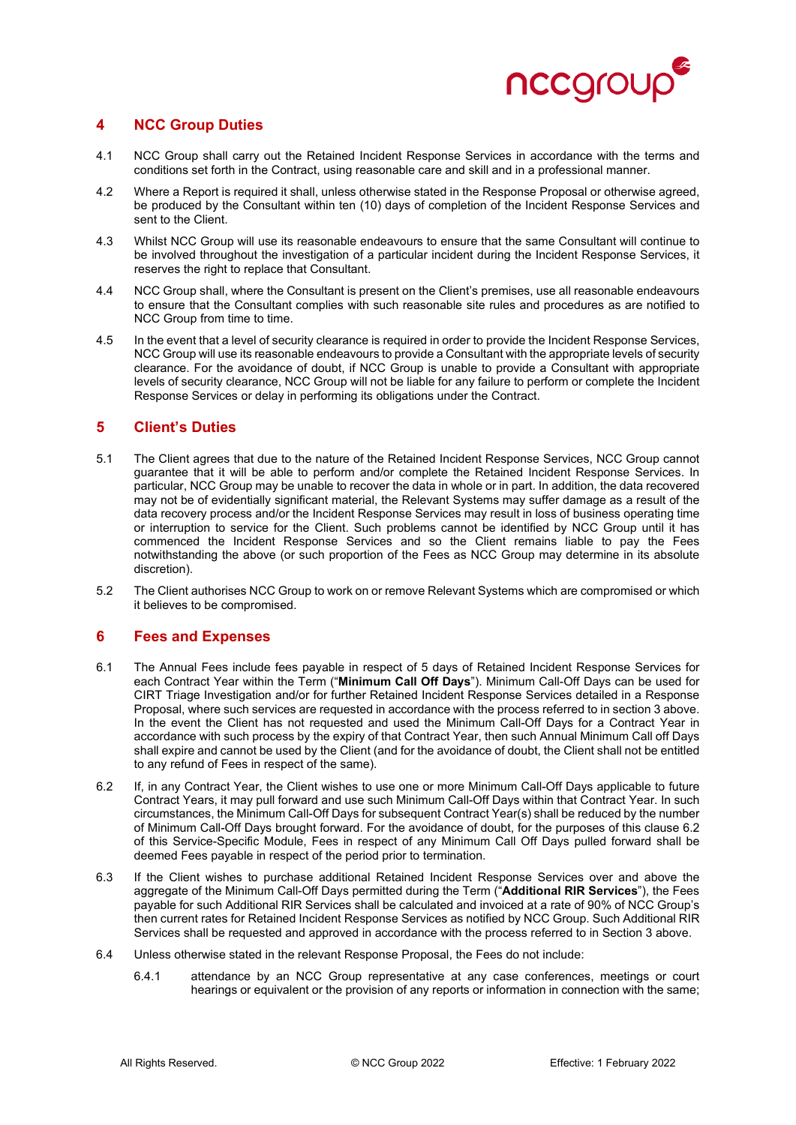

# **4 NCC Group Duties**

- 4.1 NCC Group shall carry out the Retained Incident Response Services in accordance with the terms and conditions set forth in the Contract, using reasonable care and skill and in a professional manner.
- 4.2 Where a Report is required it shall, unless otherwise stated in the Response Proposal or otherwise agreed, be produced by the Consultant within ten (10) days of completion of the Incident Response Services and sent to the Client.
- 4.3 Whilst NCC Group will use its reasonable endeavours to ensure that the same Consultant will continue to be involved throughout the investigation of a particular incident during the Incident Response Services, it reserves the right to replace that Consultant.
- 4.4 NCC Group shall, where the Consultant is present on the Client's premises, use all reasonable endeavours to ensure that the Consultant complies with such reasonable site rules and procedures as are notified to NCC Group from time to time.
- 4.5 In the event that a level of security clearance is required in order to provide the Incident Response Services, NCC Group will use its reasonable endeavours to provide a Consultant with the appropriate levels of security clearance. For the avoidance of doubt, if NCC Group is unable to provide a Consultant with appropriate levels of security clearance, NCC Group will not be liable for any failure to perform or complete the Incident Response Services or delay in performing its obligations under the Contract.

### **5 Client's Duties**

- 5.1 The Client agrees that due to the nature of the Retained Incident Response Services, NCC Group cannot guarantee that it will be able to perform and/or complete the Retained Incident Response Services. In particular, NCC Group may be unable to recover the data in whole or in part. In addition, the data recovered may not be of evidentially significant material, the Relevant Systems may suffer damage as a result of the data recovery process and/or the Incident Response Services may result in loss of business operating time or interruption to service for the Client. Such problems cannot be identified by NCC Group until it has commenced the Incident Response Services and so the Client remains liable to pay the Fees notwithstanding the above (or such proportion of the Fees as NCC Group may determine in its absolute discretion).
- 5.2 The Client authorises NCC Group to work on or remove Relevant Systems which are compromised or which it believes to be compromised.

# **6 Fees and Expenses**

- 6.1 The Annual Fees include fees payable in respect of 5 days of Retained Incident Response Services for each Contract Year within the Term ("**Minimum Call Off Days**"). Minimum Call-Off Days can be used for CIRT Triage Investigation and/or for further Retained Incident Response Services detailed in a Response Proposal, where such services are requested in accordance with the process referred to in section 3 above. In the event the Client has not requested and used the Minimum Call-Off Days for a Contract Year in accordance with such process by the expiry of that Contract Year, then such Annual Minimum Call off Days shall expire and cannot be used by the Client (and for the avoidance of doubt, the Client shall not be entitled to any refund of Fees in respect of the same).
- 6.2 If, in any Contract Year, the Client wishes to use one or more Minimum Call-Off Days applicable to future Contract Years, it may pull forward and use such Minimum Call-Off Days within that Contract Year. In such circumstances, the Minimum Call-Off Days for subsequent Contract Year(s) shall be reduced by the number of Minimum Call-Off Days brought forward. For the avoidance of doubt, for the purposes of this clause 6.2 of this Service-Specific Module, Fees in respect of any Minimum Call Off Days pulled forward shall be deemed Fees payable in respect of the period prior to termination.
- 6.3 If the Client wishes to purchase additional Retained Incident Response Services over and above the aggregate of the Minimum Call-Off Days permitted during the Term ("**Additional RIR Services**"), the Fees payable for such Additional RIR Services shall be calculated and invoiced at a rate of 90% of NCC Group's then current rates for Retained Incident Response Services as notified by NCC Group. Such Additional RIR Services shall be requested and approved in accordance with the process referred to in Section 3 above.
- 6.4 Unless otherwise stated in the relevant Response Proposal, the Fees do not include:
	- 6.4.1 attendance by an NCC Group representative at any case conferences, meetings or court hearings or equivalent or the provision of any reports or information in connection with the same;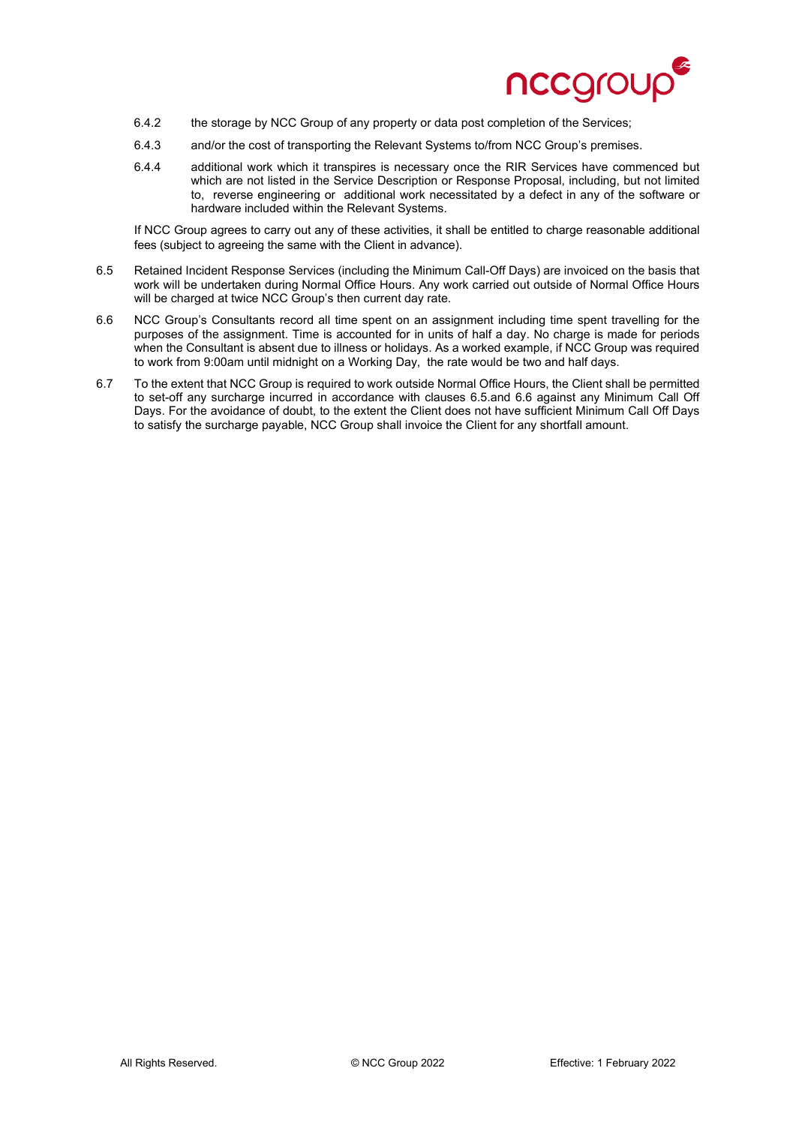

- 6.4.2 the storage by NCC Group of any property or data post completion of the Services;
- 6.4.3 and/or the cost of transporting the Relevant Systems to/from NCC Group's premises.
- 6.4.4 additional work which it transpires is necessary once the RIR Services have commenced but which are not listed in the Service Description or Response Proposal, including, but not limited to, reverse engineering or additional work necessitated by a defect in any of the software or hardware included within the Relevant Systems.

If NCC Group agrees to carry out any of these activities, it shall be entitled to charge reasonable additional fees (subject to agreeing the same with the Client in advance).

- 6.5 Retained Incident Response Services (including the Minimum Call-Off Days) are invoiced on the basis that work will be undertaken during Normal Office Hours. Any work carried out outside of Normal Office Hours will be charged at twice NCC Group's then current day rate.
- 6.6 NCC Group's Consultants record all time spent on an assignment including time spent travelling for the purposes of the assignment. Time is accounted for in units of half a day. No charge is made for periods when the Consultant is absent due to illness or holidays. As a worked example, if NCC Group was required to work from 9:00am until midnight on a Working Day, the rate would be two and half days.
- 6.7 To the extent that NCC Group is required to work outside Normal Office Hours, the Client shall be permitted to set-off any surcharge incurred in accordance with clauses 6.5.and 6.6 against any Minimum Call Off Days. For the avoidance of doubt, to the extent the Client does not have sufficient Minimum Call Off Days to satisfy the surcharge payable, NCC Group shall invoice the Client for any shortfall amount.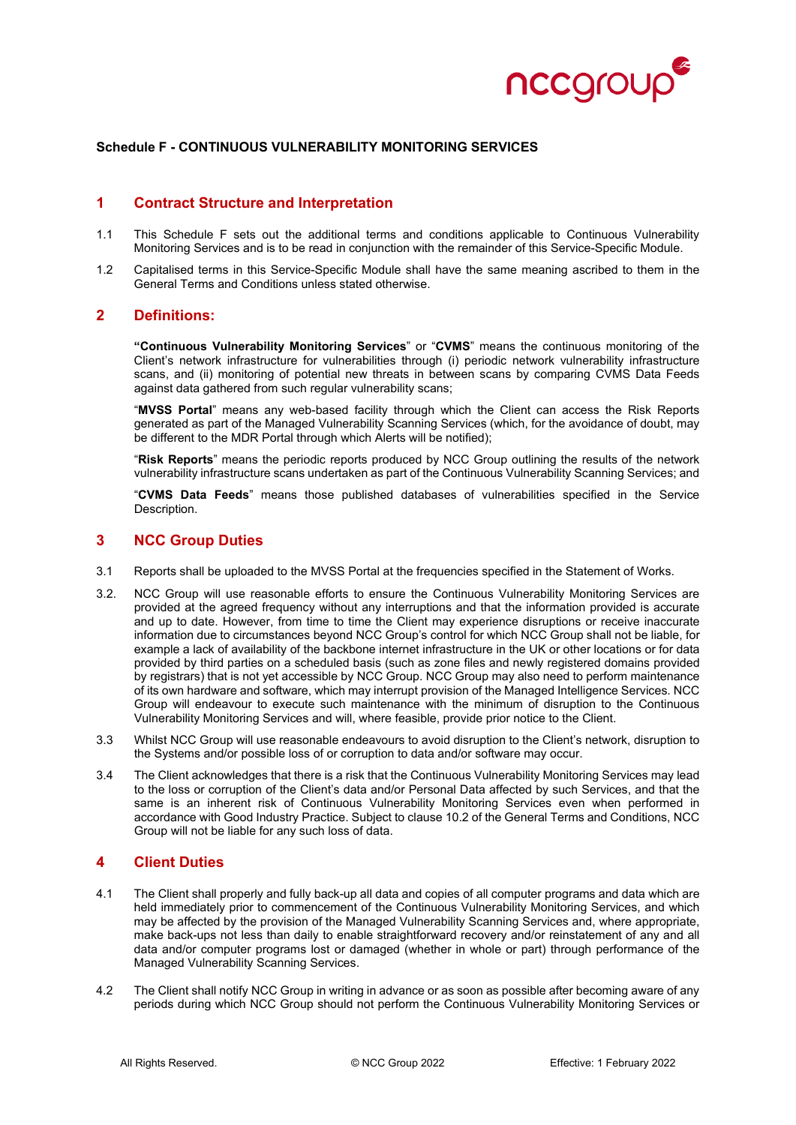

#### **Schedule F - CONTINUOUS VULNERABILITY MONITORING SERVICES**

### **1 Contract Structure and Interpretation**

- 1.1 This Schedule F sets out the additional terms and conditions applicable to Continuous Vulnerability Monitoring Services and is to be read in conjunction with the remainder of this Service-Specific Module.
- 1.2 Capitalised terms in this Service-Specific Module shall have the same meaning ascribed to them in the General Terms and Conditions unless stated otherwise.

#### **2 Definitions:**

**"Continuous Vulnerability Monitoring Services**" or "**CVMS**" means the continuous monitoring of the Client's network infrastructure for vulnerabilities through (i) periodic network vulnerability infrastructure scans, and (ii) monitoring of potential new threats in between scans by comparing CVMS Data Feeds against data gathered from such regular vulnerability scans;

"**MVSS Portal**" means any web-based facility through which the Client can access the Risk Reports generated as part of the Managed Vulnerability Scanning Services (which, for the avoidance of doubt, may be different to the MDR Portal through which Alerts will be notified);

"**Risk Reports**" means the periodic reports produced by NCC Group outlining the results of the network vulnerability infrastructure scans undertaken as part of the Continuous Vulnerability Scanning Services; and

"**CVMS Data Feeds**" means those published databases of vulnerabilities specified in the Service Description.

#### **3 NCC Group Duties**

- 3.1 Reports shall be uploaded to the MVSS Portal at the frequencies specified in the Statement of Works.
- 3.2. NCC Group will use reasonable efforts to ensure the Continuous Vulnerability Monitoring Services are provided at the agreed frequency without any interruptions and that the information provided is accurate and up to date. However, from time to time the Client may experience disruptions or receive inaccurate information due to circumstances beyond NCC Group's control for which NCC Group shall not be liable, for example a lack of availability of the backbone internet infrastructure in the UK or other locations or for data provided by third parties on a scheduled basis (such as zone files and newly registered domains provided by registrars) that is not yet accessible by NCC Group. NCC Group may also need to perform maintenance of its own hardware and software, which may interrupt provision of the Managed Intelligence Services. NCC Group will endeavour to execute such maintenance with the minimum of disruption to the Continuous Vulnerability Monitoring Services and will, where feasible, provide prior notice to the Client.
- 3.3 Whilst NCC Group will use reasonable endeavours to avoid disruption to the Client's network, disruption to the Systems and/or possible loss of or corruption to data and/or software may occur.
- 3.4 The Client acknowledges that there is a risk that the Continuous Vulnerability Monitoring Services may lead to the loss or corruption of the Client's data and/or Personal Data affected by such Services, and that the same is an inherent risk of Continuous Vulnerability Monitoring Services even when performed in accordance with Good Industry Practice. Subject to clause 10.2 of the General Terms and Conditions, NCC Group will not be liable for any such loss of data.

# **4 Client Duties**

- 4.1 The Client shall properly and fully back-up all data and copies of all computer programs and data which are held immediately prior to commencement of the Continuous Vulnerability Monitoring Services, and which may be affected by the provision of the Managed Vulnerability Scanning Services and, where appropriate, make back-ups not less than daily to enable straightforward recovery and/or reinstatement of any and all data and/or computer programs lost or damaged (whether in whole or part) through performance of the Managed Vulnerability Scanning Services.
- 4.2 The Client shall notify NCC Group in writing in advance or as soon as possible after becoming aware of any periods during which NCC Group should not perform the Continuous Vulnerability Monitoring Services or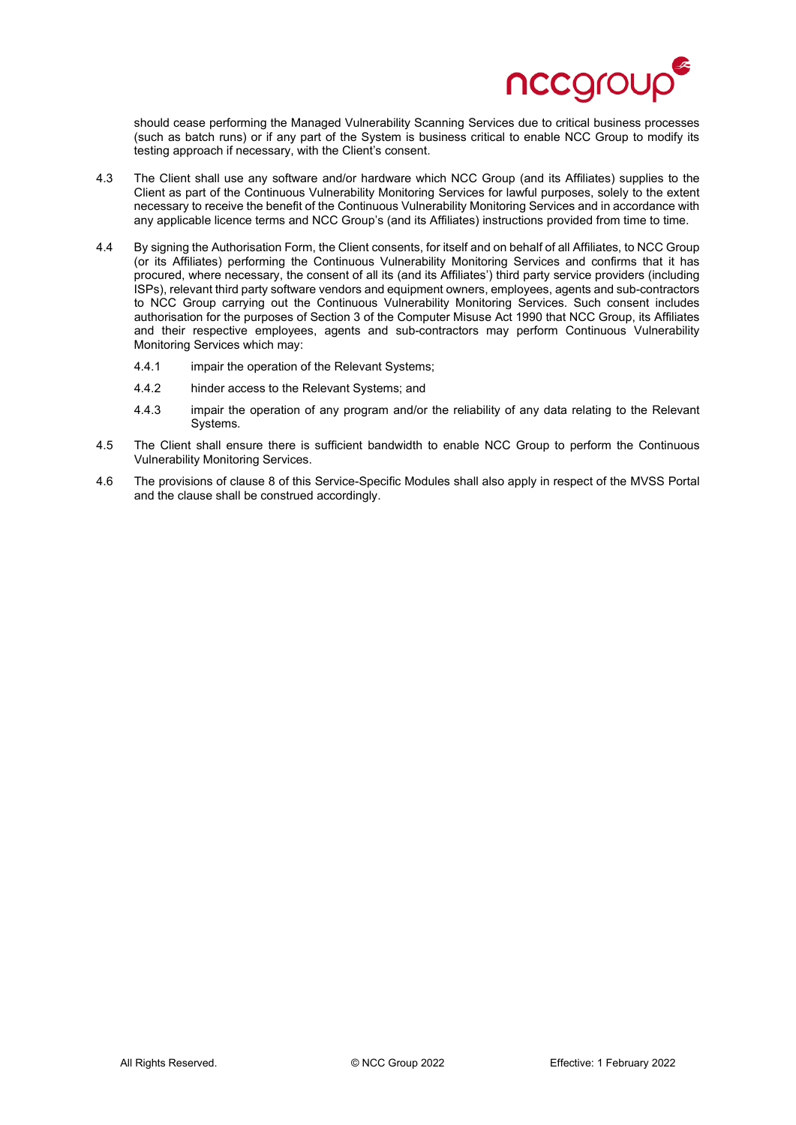

should cease performing the Managed Vulnerability Scanning Services due to critical business processes (such as batch runs) or if any part of the System is business critical to enable NCC Group to modify its testing approach if necessary, with the Client's consent.

- 4.3 The Client shall use any software and/or hardware which NCC Group (and its Affiliates) supplies to the Client as part of the Continuous Vulnerability Monitoring Services for lawful purposes, solely to the extent necessary to receive the benefit of the Continuous Vulnerability Monitoring Services and in accordance with any applicable licence terms and NCC Group's (and its Affiliates) instructions provided from time to time.
- 4.4 By signing the Authorisation Form, the Client consents, for itself and on behalf of all Affiliates, to NCC Group (or its Affiliates) performing the Continuous Vulnerability Monitoring Services and confirms that it has procured, where necessary, the consent of all its (and its Affiliates') third party service providers (including ISPs), relevant third party software vendors and equipment owners, employees, agents and sub-contractors to NCC Group carrying out the Continuous Vulnerability Monitoring Services. Such consent includes authorisation for the purposes of Section 3 of the Computer Misuse Act 1990 that NCC Group, its Affiliates and their respective employees, agents and sub-contractors may perform Continuous Vulnerability Monitoring Services which may:
	- 4.4.1 impair the operation of the Relevant Systems;
	- 4.4.2 hinder access to the Relevant Systems; and
	- 4.4.3 impair the operation of any program and/or the reliability of any data relating to the Relevant Systems.
- 4.5 The Client shall ensure there is sufficient bandwidth to enable NCC Group to perform the Continuous Vulnerability Monitoring Services.
- 4.6 The provisions of clause 8 of this Service-Specific Modules shall also apply in respect of the MVSS Portal and the clause shall be construed accordingly.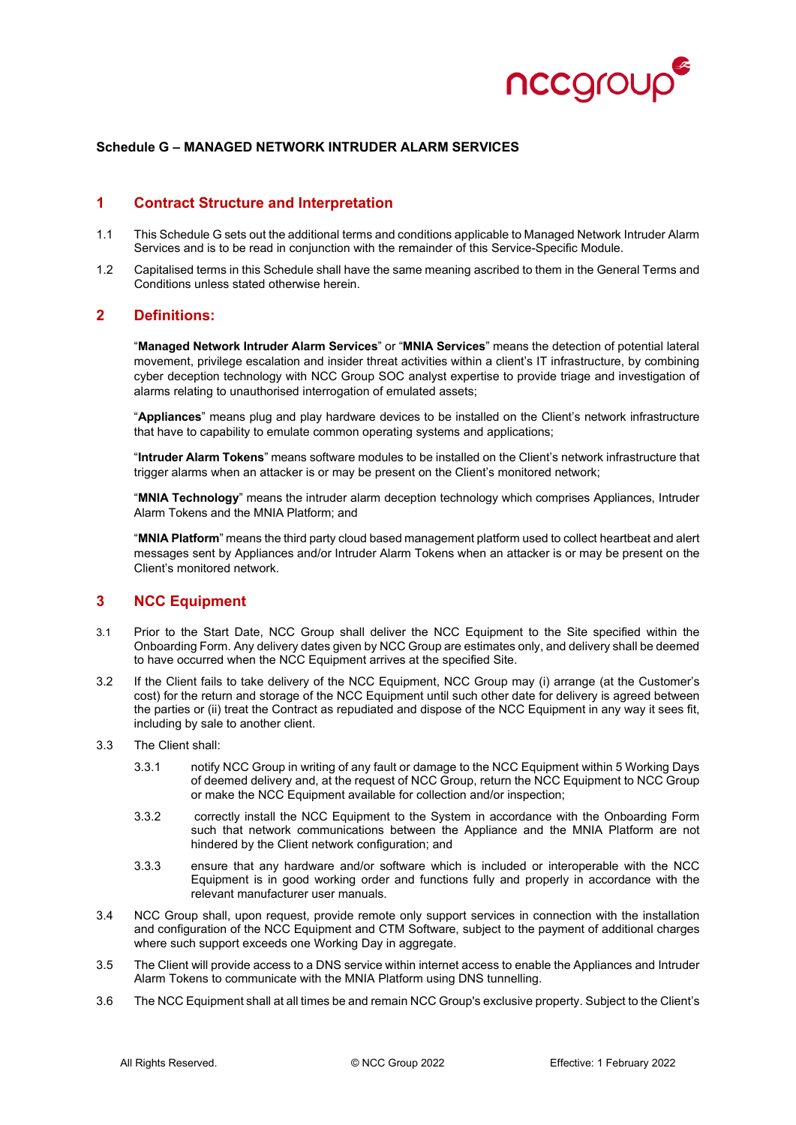

#### **Schedule G – MANAGED NETWORK INTRUDER ALARM SERVICES**

### **1 Contract Structure and Interpretation**

- 1.1 This Schedule G sets out the additional terms and conditions applicable to Managed Network Intruder Alarm Services and is to be read in conjunction with the remainder of this Service-Specific Module.
- 1.2 Capitalised terms in this Schedule shall have the same meaning ascribed to them in the General Terms and Conditions unless stated otherwise herein.

#### **2 Definitions:**

"**Managed Network Intruder Alarm Services**" or "**MNIA Services**" means the detection of potential lateral movement, privilege escalation and insider threat activities within a client's IT infrastructure, by combining cyber deception technology with NCC Group SOC analyst expertise to provide triage and investigation of alarms relating to unauthorised interrogation of emulated assets;

"**Appliances**" means plug and play hardware devices to be installed on the Client's network infrastructure that have to capability to emulate common operating systems and applications;

"**Intruder Alarm Tokens**" means software modules to be installed on the Client's network infrastructure that trigger alarms when an attacker is or may be present on the Client's monitored network;

"**MNIA Technology**" means the intruder alarm deception technology which comprises Appliances, Intruder Alarm Tokens and the MNIA Platform; and

"**MNIA Platform**" means the third party cloud based management platform used to collect heartbeat and alert messages sent by Appliances and/or Intruder Alarm Tokens when an attacker is or may be present on the Client's monitored network.

# **3 NCC Equipment**

- 3.1 Prior to the Start Date, NCC Group shall deliver the NCC Equipment to the Site specified within the Onboarding Form. Any delivery dates given by NCC Group are estimates only, and delivery shall be deemed to have occurred when the NCC Equipment arrives at the specified Site.
- 3.2 If the Client fails to take delivery of the NCC Equipment, NCC Group may (i) arrange (at the Customer's cost) for the return and storage of the NCC Equipment until such other date for delivery is agreed between the parties or (ii) treat the Contract as repudiated and dispose of the NCC Equipment in any way it sees fit, including by sale to another client.
- 3.3 The Client shall:
	- 3.3.1 notify NCC Group in writing of any fault or damage to the NCC Equipment within 5 Working Days of deemed delivery and, at the request of NCC Group, return the NCC Equipment to NCC Group or make the NCC Equipment available for collection and/or inspection;
	- 3.3.2 correctly install the NCC Equipment to the System in accordance with the Onboarding Form such that network communications between the Appliance and the MNIA Platform are not hindered by the Client network configuration; and
	- 3.3.3 ensure that any hardware and/or software which is included or interoperable with the NCC Equipment is in good working order and functions fully and properly in accordance with the relevant manufacturer user manuals.
- 3.4 NCC Group shall, upon request, provide remote only support services in connection with the installation and configuration of the NCC Equipment and CTM Software, subject to the payment of additional charges where such support exceeds one Working Day in aggregate.
- 3.5 The Client will provide access to a DNS service within internet access to enable the Appliances and Intruder Alarm Tokens to communicate with the MNIA Platform using DNS tunnelling.
- 3.6 The NCC Equipment shall at all times be and remain NCC Group's exclusive property. Subject to the Client's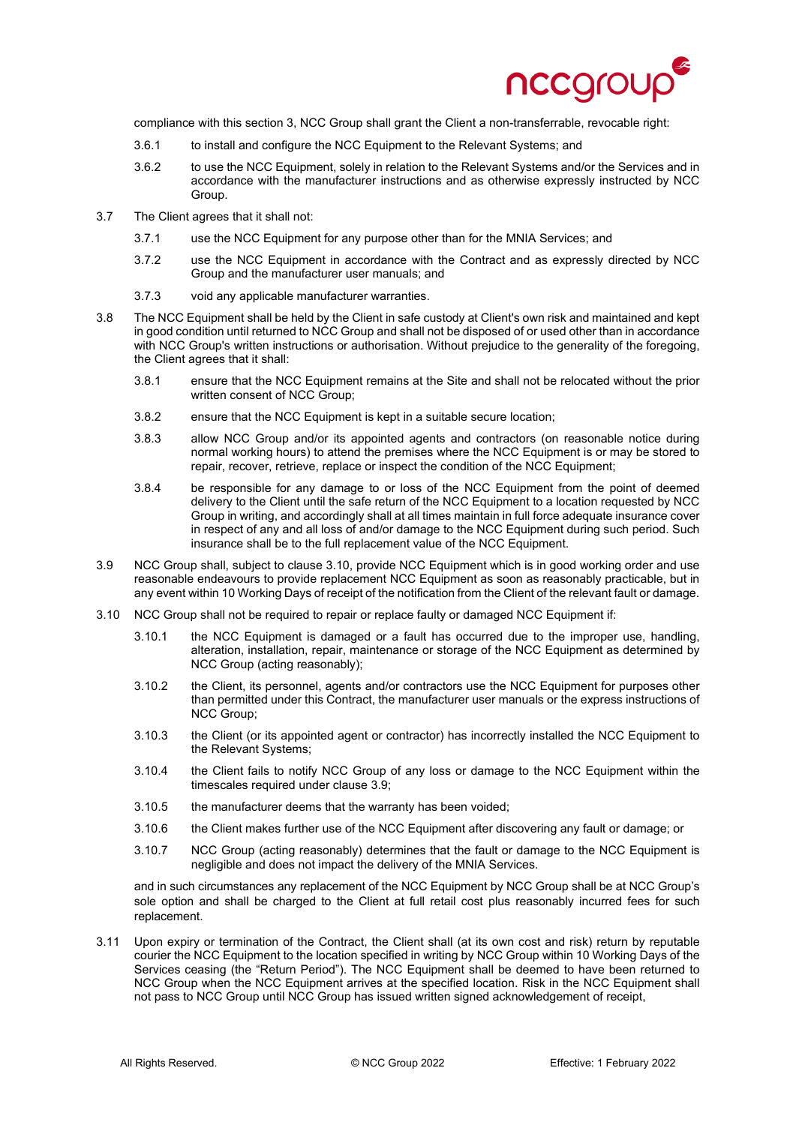

compliance with this section 3, NCC Group shall grant the Client a non-transferrable, revocable right:

- 3.6.1 to install and configure the NCC Equipment to the Relevant Systems; and
- 3.6.2 to use the NCC Equipment, solely in relation to the Relevant Systems and/or the Services and in accordance with the manufacturer instructions and as otherwise expressly instructed by NCC Group.
- 3.7 The Client agrees that it shall not:
	- 3.7.1 use the NCC Equipment for any purpose other than for the MNIA Services; and
	- 3.7.2 use the NCC Equipment in accordance with the Contract and as expressly directed by NCC Group and the manufacturer user manuals; and
	- 3.7.3 void any applicable manufacturer warranties.
- 3.8 The NCC Equipment shall be held by the Client in safe custody at Client's own risk and maintained and kept in good condition until returned to NCC Group and shall not be disposed of or used other than in accordance with NCC Group's written instructions or authorisation. Without prejudice to the generality of the foregoing, the Client agrees that it shall:
	- 3.8.1 ensure that the NCC Equipment remains at the Site and shall not be relocated without the prior written consent of NCC Group;
	- 3.8.2 ensure that the NCC Equipment is kept in a suitable secure location;
	- 3.8.3 allow NCC Group and/or its appointed agents and contractors (on reasonable notice during normal working hours) to attend the premises where the NCC Equipment is or may be stored to repair, recover, retrieve, replace or inspect the condition of the NCC Equipment;
	- 3.8.4 be responsible for any damage to or loss of the NCC Equipment from the point of deemed delivery to the Client until the safe return of the NCC Equipment to a location requested by NCC Group in writing, and accordingly shall at all times maintain in full force adequate insurance cover in respect of any and all loss of and/or damage to the NCC Equipment during such period. Such insurance shall be to the full replacement value of the NCC Equipment.
- 3.9 NCC Group shall, subject to clause 3.10, provide NCC Equipment which is in good working order and use reasonable endeavours to provide replacement NCC Equipment as soon as reasonably practicable, but in any event within 10 Working Days of receipt of the notification from the Client of the relevant fault or damage.
- 3.10 NCC Group shall not be required to repair or replace faulty or damaged NCC Equipment if:
	- 3.10.1 the NCC Equipment is damaged or a fault has occurred due to the improper use, handling, alteration, installation, repair, maintenance or storage of the NCC Equipment as determined by NCC Group (acting reasonably);
	- 3.10.2 the Client, its personnel, agents and/or contractors use the NCC Equipment for purposes other than permitted under this Contract, the manufacturer user manuals or the express instructions of NCC Group;
	- 3.10.3 the Client (or its appointed agent or contractor) has incorrectly installed the NCC Equipment to the Relevant Systems;
	- 3.10.4 the Client fails to notify NCC Group of any loss or damage to the NCC Equipment within the timescales required under clause 3.9;
	- 3.10.5 the manufacturer deems that the warranty has been voided;
	- 3.10.6 the Client makes further use of the NCC Equipment after discovering any fault or damage; or
	- 3.10.7 NCC Group (acting reasonably) determines that the fault or damage to the NCC Equipment is negligible and does not impact the delivery of the MNIA Services.

and in such circumstances any replacement of the NCC Equipment by NCC Group shall be at NCC Group's sole option and shall be charged to the Client at full retail cost plus reasonably incurred fees for such replacement.

3.11 Upon expiry or termination of the Contract, the Client shall (at its own cost and risk) return by reputable courier the NCC Equipment to the location specified in writing by NCC Group within 10 Working Days of the Services ceasing (the "Return Period"). The NCC Equipment shall be deemed to have been returned to NCC Group when the NCC Equipment arrives at the specified location. Risk in the NCC Equipment shall not pass to NCC Group until NCC Group has issued written signed acknowledgement of receipt,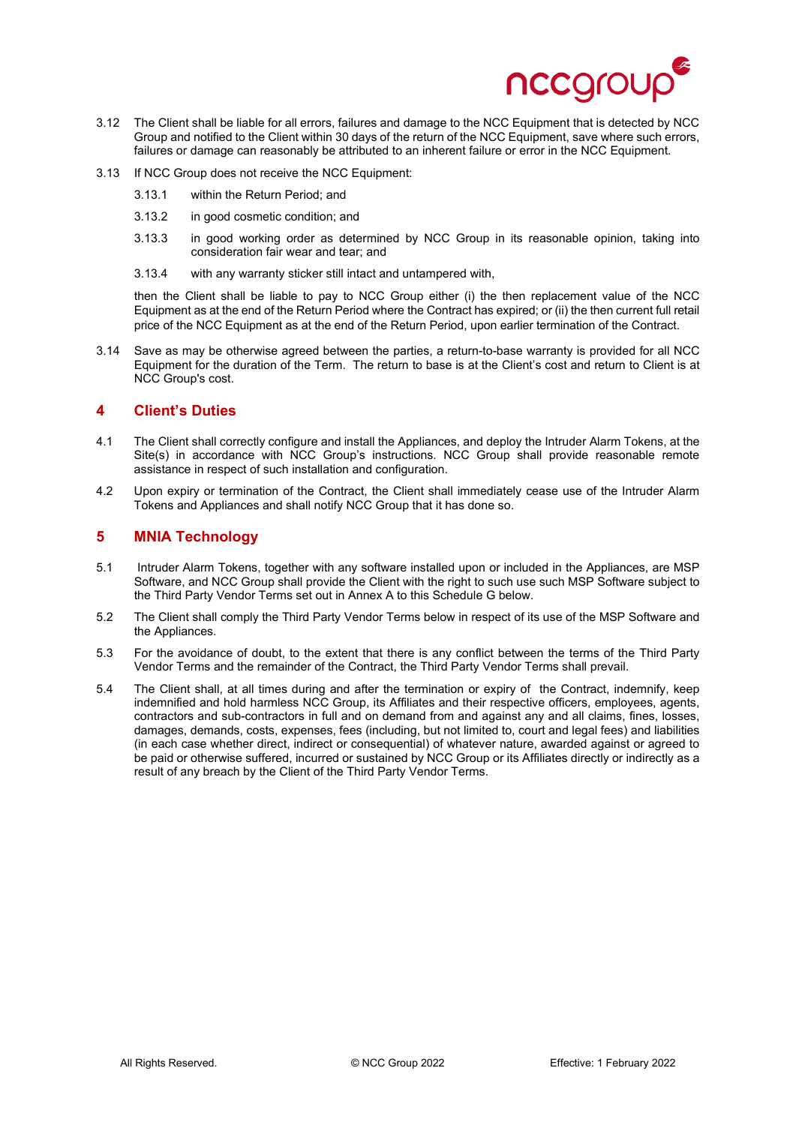

- 3.12 The Client shall be liable for all errors, failures and damage to the NCC Equipment that is detected by NCC Group and notified to the Client within 30 days of the return of the NCC Equipment, save where such errors, failures or damage can reasonably be attributed to an inherent failure or error in the NCC Equipment.
- 3.13 If NCC Group does not receive the NCC Equipment:
	- 3.13.1 within the Return Period; and
	- 3.13.2 in good cosmetic condition; and
	- 3.13.3 in good working order as determined by NCC Group in its reasonable opinion, taking into consideration fair wear and tear; and
	- 3.13.4 with any warranty sticker still intact and untampered with,

then the Client shall be liable to pay to NCC Group either (i) the then replacement value of the NCC Equipment as at the end of the Return Period where the Contract has expired; or (ii) the then current full retail price of the NCC Equipment as at the end of the Return Period, upon earlier termination of the Contract.

3.14 Save as may be otherwise agreed between the parties, a return-to-base warranty is provided for all NCC Equipment for the duration of the Term. The return to base is at the Client's cost and return to Client is at NCC Group's cost.

### **4 Client's Duties**

- 4.1 The Client shall correctly configure and install the Appliances, and deploy the Intruder Alarm Tokens, at the Site(s) in accordance with NCC Group's instructions. NCC Group shall provide reasonable remote assistance in respect of such installation and configuration.
- 4.2 Upon expiry or termination of the Contract, the Client shall immediately cease use of the Intruder Alarm Tokens and Appliances and shall notify NCC Group that it has done so.

# **5 MNIA Technology**

- 5.1 Intruder Alarm Tokens, together with any software installed upon or included in the Appliances, are MSP Software, and NCC Group shall provide the Client with the right to such use such MSP Software subject to the Third Party Vendor Terms set out in Annex A to this Schedule G below.
- 5.2 The Client shall comply the Third Party Vendor Terms below in respect of its use of the MSP Software and the Appliances.
- 5.3 For the avoidance of doubt, to the extent that there is any conflict between the terms of the Third Party Vendor Terms and the remainder of the Contract, the Third Party Vendor Terms shall prevail.
- 5.4 The Client shall, at all times during and after the termination or expiry of the Contract, indemnify, keep indemnified and hold harmless NCC Group, its Affiliates and their respective officers, employees, agents, contractors and sub-contractors in full and on demand from and against any and all claims, fines, losses, damages, demands, costs, expenses, fees (including, but not limited to, court and legal fees) and liabilities (in each case whether direct, indirect or consequential) of whatever nature, awarded against or agreed to be paid or otherwise suffered, incurred or sustained by NCC Group or its Affiliates directly or indirectly as a result of any breach by the Client of the Third Party Vendor Terms.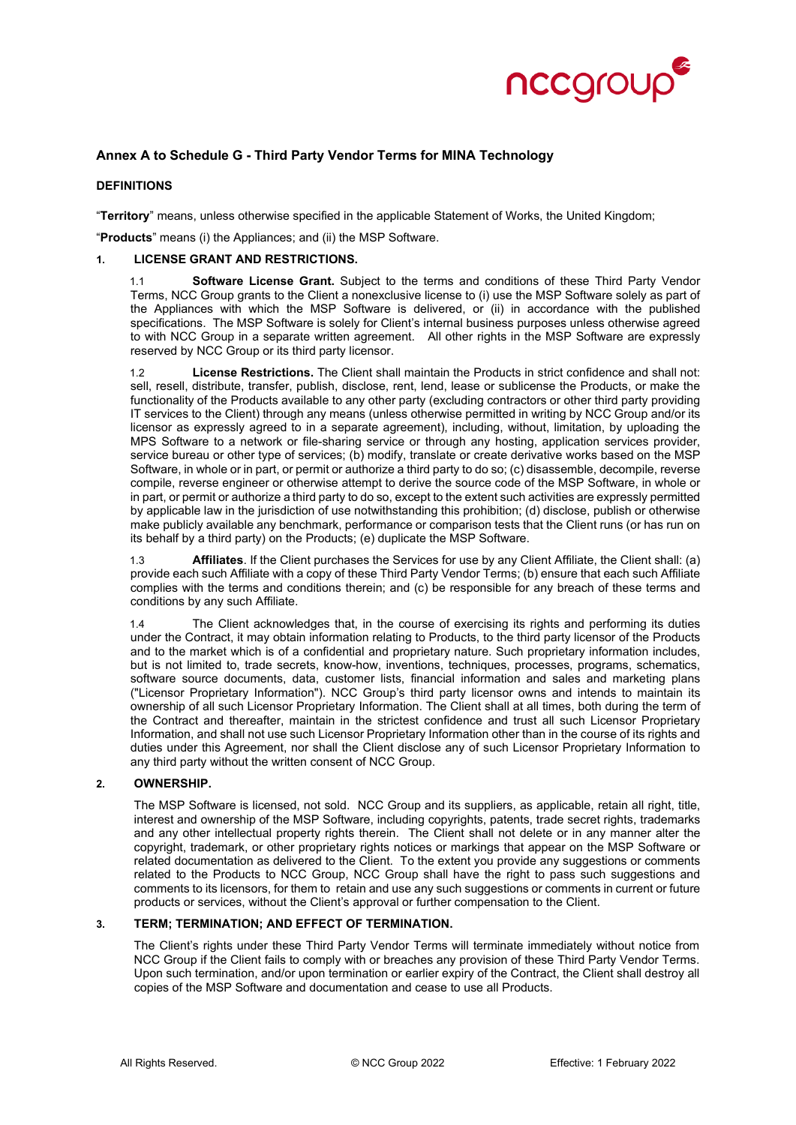

## **Annex A to Schedule G - Third Party Vendor Terms for MINA Technology**

#### **DEFINITIONS**

"**Territory**" means, unless otherwise specified in the applicable Statement of Works, the United Kingdom;

"**Products**" means (i) the Appliances; and (ii) the MSP Software.

#### **1. LICENSE GRANT AND RESTRICTIONS.**

1.1 **Software License Grant.** Subject to the terms and conditions of these Third Party Vendor Terms, NCC Group grants to the Client a nonexclusive license to (i) use the MSP Software solely as part of the Appliances with which the MSP Software is delivered, or (ii) in accordance with the published specifications. The MSP Software is solely for Client's internal business purposes unless otherwise agreed to with NCC Group in a separate written agreement. All other rights in the MSP Software are expressly reserved by NCC Group or its third party licensor.

1.2 **License Restrictions.** The Client shall maintain the Products in strict confidence and shall not: sell, resell, distribute, transfer, publish, disclose, rent, lend, lease or sublicense the Products, or make the functionality of the Products available to any other party (excluding contractors or other third party providing IT services to the Client) through any means (unless otherwise permitted in writing by NCC Group and/or its licensor as expressly agreed to in a separate agreement), including, without, limitation, by uploading the MPS Software to a network or file-sharing service or through any hosting, application services provider, service bureau or other type of services; (b) modify, translate or create derivative works based on the MSP Software, in whole or in part, or permit or authorize a third party to do so; (c) disassemble, decompile, reverse compile, reverse engineer or otherwise attempt to derive the source code of the MSP Software, in whole or in part, or permit or authorize a third party to do so, except to the extent such activities are expressly permitted by applicable law in the jurisdiction of use notwithstanding this prohibition; (d) disclose, publish or otherwise make publicly available any benchmark, performance or comparison tests that the Client runs (or has run on its behalf by a third party) on the Products; (e) duplicate the MSP Software.

1.3 **Affiliates**. If the Client purchases the Services for use by any Client Affiliate, the Client shall: (a) provide each such Affiliate with a copy of these Third Party Vendor Terms; (b) ensure that each such Affiliate complies with the terms and conditions therein; and (c) be responsible for any breach of these terms and conditions by any such Affiliate.

1.4 The Client acknowledges that, in the course of exercising its rights and performing its duties under the Contract, it may obtain information relating to Products, to the third party licensor of the Products and to the market which is of a confidential and proprietary nature. Such proprietary information includes, but is not limited to, trade secrets, know-how, inventions, techniques, processes, programs, schematics, software source documents, data, customer lists, financial information and sales and marketing plans ("Licensor Proprietary Information"). NCC Group's third party licensor owns and intends to maintain its ownership of all such Licensor Proprietary Information. The Client shall at all times, both during the term of the Contract and thereafter, maintain in the strictest confidence and trust all such Licensor Proprietary Information, and shall not use such Licensor Proprietary Information other than in the course of its rights and duties under this Agreement, nor shall the Client disclose any of such Licensor Proprietary Information to any third party without the written consent of NCC Group.

#### **2. OWNERSHIP.**

The MSP Software is licensed, not sold. NCC Group and its suppliers, as applicable, retain all right, title, interest and ownership of the MSP Software, including copyrights, patents, trade secret rights, trademarks and any other intellectual property rights therein. The Client shall not delete or in any manner alter the copyright, trademark, or other proprietary rights notices or markings that appear on the MSP Software or related documentation as delivered to the Client. To the extent you provide any suggestions or comments related to the Products to NCC Group, NCC Group shall have the right to pass such suggestions and comments to its licensors, for them to retain and use any such suggestions or comments in current or future products or services, without the Client's approval or further compensation to the Client.

#### **3. TERM; TERMINATION; AND EFFECT OF TERMINATION.**

The Client's rights under these Third Party Vendor Terms will terminate immediately without notice from NCC Group if the Client fails to comply with or breaches any provision of these Third Party Vendor Terms. Upon such termination, and/or upon termination or earlier expiry of the Contract, the Client shall destroy all copies of the MSP Software and documentation and cease to use all Products.